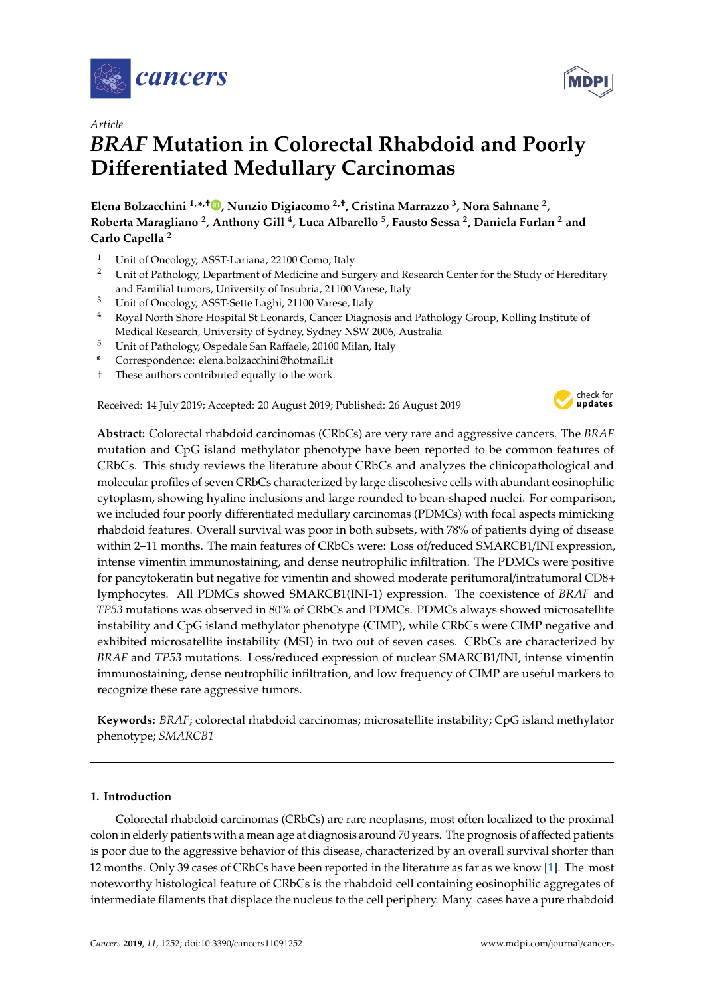



# *BRAF* **Mutation in Colorectal Rhabdoid and Poorly Di**ff**erentiated Medullary Carcinomas**

**Elena Bolzacchini 1,\* ,**† **[,](https://orcid.org/0000-0003-1677-8477) Nunzio Digiacomo 2,**† **, Cristina Marrazzo <sup>3</sup> , Nora Sahnane <sup>2</sup> , Roberta Maragliano <sup>2</sup> , Anthony Gill <sup>4</sup> , Luca Albarello <sup>5</sup> , Fausto Sessa <sup>2</sup> , Daniela Furlan <sup>2</sup> and Carlo Capella <sup>2</sup>**

- <sup>1</sup> Unit of Oncology, ASST-Lariana, 22100 Como, Italy
- <sup>2</sup> Unit of Pathology, Department of Medicine and Surgery and Research Center for the Study of Hereditary and Familial tumors, University of Insubria, 21100 Varese, Italy
- <sup>3</sup> Unit of Oncology, ASST-Sette Laghi, 21100 Varese, Italy
- <sup>4</sup> Royal North Shore Hospital St Leonards, Cancer Diagnosis and Pathology Group, Kolling Institute of Medical Research, University of Sydney, Sydney NSW 2006, Australia
- <sup>5</sup> Unit of Pathology, Ospedale San Raffaele, 20100 Milan, Italy
- **\*** Correspondence: elena.bolzacchini@hotmail.it
- † These authors contributed equally to the work.

Received: 14 July 2019; Accepted: 20 August 2019; Published: 26 August 2019



**Abstract:** Colorectal rhabdoid carcinomas (CRbCs) are very rare and aggressive cancers. The *BRAF* mutation and CpG island methylator phenotype have been reported to be common features of CRbCs. This study reviews the literature about CRbCs and analyzes the clinicopathological and molecular profiles of seven CRbCs characterized by large discohesive cells with abundant eosinophilic cytoplasm, showing hyaline inclusions and large rounded to bean-shaped nuclei. For comparison, we included four poorly differentiated medullary carcinomas (PDMCs) with focal aspects mimicking rhabdoid features. Overall survival was poor in both subsets, with 78% of patients dying of disease within 2–11 months. The main features of CRbCs were: Loss of/reduced SMARCB1/INI expression, intense vimentin immunostaining, and dense neutrophilic infiltration. The PDMCs were positive for pancytokeratin but negative for vimentin and showed moderate peritumoral/intratumoral CD8+ lymphocytes. All PDMCs showed SMARCB1(INI-1) expression. The coexistence of *BRAF* and *TP53* mutations was observed in 80% of CRbCs and PDMCs. PDMCs always showed microsatellite instability and CpG island methylator phenotype (CIMP), while CRbCs were CIMP negative and exhibited microsatellite instability (MSI) in two out of seven cases. CRbCs are characterized by *BRAF* and *TP53* mutations. Loss/reduced expression of nuclear SMARCB1/INI, intense vimentin immunostaining, dense neutrophilic infiltration, and low frequency of CIMP are useful markers to recognize these rare aggressive tumors.

**Keywords:** *BRAF*; colorectal rhabdoid carcinomas; microsatellite instability; CpG island methylator phenotype; *SMARCB1*

# **1. Introduction**

Colorectal rhabdoid carcinomas (CRbCs) are rare neoplasms, most often localized to the proximal colon in elderly patients with a mean age at diagnosis around 70 years. The prognosis of affected patients is poor due to the aggressive behavior of this disease, characterized by an overall survival shorter than 12 months. Only 39 cases of CRbCs have been reported in the literature as far as we know [\[1\]](#page-11-0). The most noteworthy histological feature of CRbCs is the rhabdoid cell containing eosinophilic aggregates of intermediate filaments that displace the nucleus to the cell periphery. Many cases have a pure rhabdoid

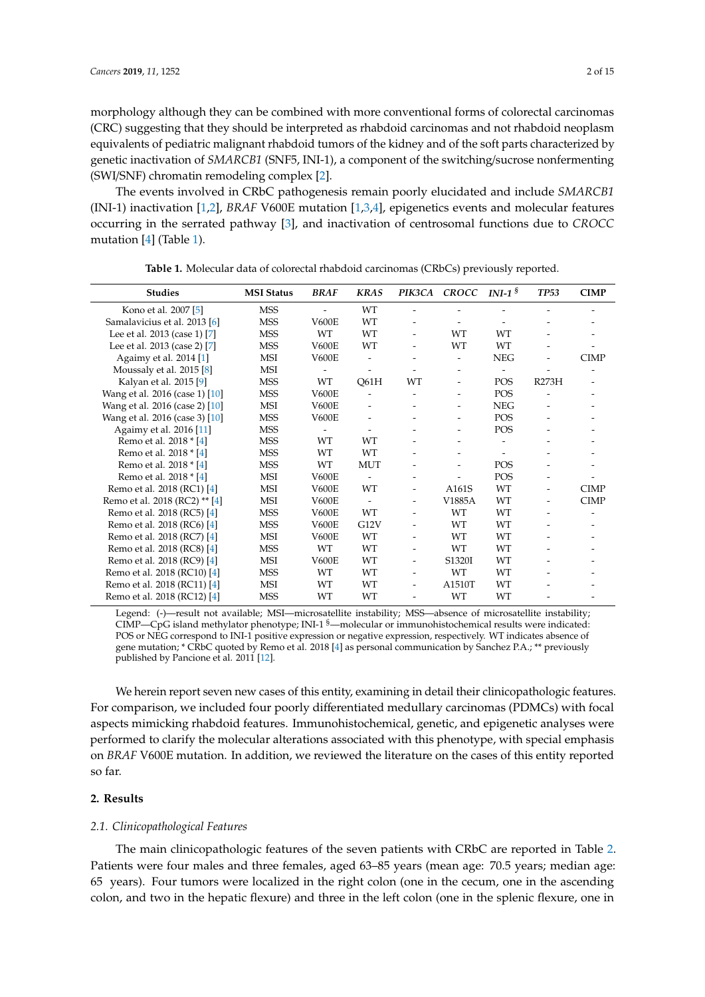morphology although they can be combined with more conventional forms of colorectal carcinomas (CRC) suggesting that they should be interpreted as rhabdoid carcinomas and not rhabdoid neoplasm equivalents of pediatric malignant rhabdoid tumors of the kidney and of the soft parts characterized by genetic inactivation of *SMARCB1* (SNF5, INI-1), a component of the switching/sucrose nonfermenting (SWI/SNF) chromatin remodeling complex [\[2\]](#page-11-1).

The events involved in CRbC pathogenesis remain poorly elucidated and include *SMARCB1* (INI-1) inactivation [\[1,](#page-11-0)[2\]](#page-11-1), *BRAF* V600E mutation [\[1](#page-11-0)[,3](#page-11-2)[,4\]](#page-11-3), epigenetics events and molecular features occurring in the serrated pathway [\[3\]](#page-11-2), and inactivation of centrosomal functions due to *CROCC* mutation [\[4\]](#page-11-3) (Table [1\)](#page-1-0).

<span id="page-1-0"></span>

| <b>Studies</b>                 | <b>MSI Status</b> | <b>BRAF</b>  | <b>KRAS</b>              |                          | PIK3CA CROCC             | INI-1 $\frac{1}{8}$ | <b>TP53</b>              | <b>CIMP</b> |
|--------------------------------|-------------------|--------------|--------------------------|--------------------------|--------------------------|---------------------|--------------------------|-------------|
| Kono et al. 2007 [5]           | <b>MSS</b>        |              | WT                       |                          |                          |                     |                          |             |
| Samalavicius et al. 2013 [6]   | <b>MSS</b>        | <b>V600E</b> | WT                       |                          |                          |                     |                          |             |
| Lee et al. 2013 (case 1) [7]   | <b>MSS</b>        | WT           | WT                       |                          | <b>WT</b>                | WT                  |                          |             |
| Lee et al. 2013 (case 2) [7]   | <b>MSS</b>        | <b>V600E</b> | WT                       |                          | <b>WT</b>                | WT                  |                          |             |
| Agaimy et al. 2014 [1]         | MSI               | <b>V600E</b> |                          |                          | $\overline{\phantom{0}}$ | <b>NEG</b>          |                          | <b>CIMP</b> |
| Moussaly et al. 2015 [8]       | <b>MSI</b>        |              |                          |                          |                          |                     |                          |             |
| Kalyan et al. 2015 [9]         | <b>MSS</b>        | WT           | Q61H                     | WT                       |                          | <b>POS</b>          | R273H                    |             |
| Wang et al. 2016 (case 1) [10] | <b>MSS</b>        | <b>V600E</b> |                          |                          |                          | <b>POS</b>          |                          |             |
| Wang et al. 2016 (case 2) [10] | MSI               | <b>V600E</b> | $\overline{\phantom{a}}$ | -                        |                          | <b>NEG</b>          | $\overline{\phantom{a}}$ |             |
| Wang et al. 2016 (case 3) [10] | <b>MSS</b>        | <b>V600E</b> |                          |                          |                          | POS                 |                          |             |
| Agaimy et al. 2016 [11]        | <b>MSS</b>        |              |                          |                          |                          | POS                 |                          |             |
| Remo et al. 2018 * [4]         | <b>MSS</b>        | WT           | WT                       |                          |                          |                     |                          |             |
| Remo et al. 2018 * [4]         | <b>MSS</b>        | <b>WT</b>    | WT                       |                          |                          |                     |                          |             |
| Remo et al. 2018 * [4]         | <b>MSS</b>        | WT           | <b>MUT</b>               |                          |                          | <b>POS</b>          |                          |             |
| Remo et al. 2018 * [4]         | <b>MSI</b>        | <b>V600E</b> |                          |                          |                          | POS                 |                          |             |
| Remo et al. 2018 (RC1) [4]     | MSI               | <b>V600E</b> | <b>WT</b>                |                          | A161S                    | WT                  |                          | <b>CIMP</b> |
| Remo et al. 2018 (RC2) ** [4]  | MSI               | <b>V600E</b> |                          |                          | V1885A                   | WT                  |                          | <b>CIMP</b> |
| Remo et al. 2018 (RC5) [4]     | <b>MSS</b>        | <b>V600E</b> | WT                       | -                        | WT                       | WT                  |                          |             |
| Remo et al. 2018 (RC6) [4]     | <b>MSS</b>        | <b>V600E</b> | G12V                     | $\overline{\phantom{a}}$ | WT                       | WT                  | $\overline{\phantom{a}}$ |             |
| Remo et al. 2018 (RC7) [4]     | <b>MSI</b>        | <b>V600E</b> | <b>WT</b>                |                          | WT                       | <b>WT</b>           |                          |             |
| Remo et al. 2018 (RC8) [4]     | <b>MSS</b>        | <b>WT</b>    | <b>WT</b>                |                          | WT                       | WT                  |                          |             |
| Remo et al. 2018 (RC9) [4]     | <b>MSI</b>        | <b>V600E</b> | WT                       | -                        | S1320I                   | WT                  |                          |             |
| Remo et al. 2018 (RC10) [4]    | <b>MSS</b>        | WT           | WT                       | $\overline{\phantom{a}}$ | WT                       | WT                  |                          |             |
| Remo et al. 2018 (RC11) [4]    | <b>MSI</b>        | <b>WT</b>    | WT                       | $\overline{\phantom{0}}$ | A1510T                   | WT                  |                          |             |
| Remo et al. 2018 (RC12) [4]    | <b>MSS</b>        | WT           | <b>WT</b>                |                          | WT                       | WT                  |                          |             |

**Table 1.** Molecular data of colorectal rhabdoid carcinomas (CRbCs) previously reported.

Legend: (-)—result not available; MSI—microsatellite instability; MSS—absence of microsatellite instability; CIMP—CpG island methylator phenotype; INI-1 §—molecular or immunohistochemical results were indicated: POS or NEG correspond to INI-1 positive expression or negative expression, respectively. WT indicates absence of gene mutation; \* CRbC quoted by Remo et al. 2018 [\[4\]](#page-11-3) as personal communication by Sanchez P.A.; \*\* previously published by Pancione et al. 2011 [\[12\]](#page-12-5).

We herein report seven new cases of this entity, examining in detail their clinicopathologic features. For comparison, we included four poorly differentiated medullary carcinomas (PDMCs) with focal aspects mimicking rhabdoid features. Immunohistochemical, genetic, and epigenetic analyses were performed to clarify the molecular alterations associated with this phenotype, with special emphasis on *BRAF* V600E mutation. In addition, we reviewed the literature on the cases of this entity reported so far.

# **2. Results**

#### *2.1. Clinicopathological Features*

The main clinicopathologic features of the seven patients with CRbC are reported in Table [2.](#page-2-0) Patients were four males and three females, aged 63–85 years (mean age: 70.5 years; median age: 65 years). Four tumors were localized in the right colon (one in the cecum, one in the ascending colon, and two in the hepatic flexure) and three in the left colon (one in the splenic flexure, one in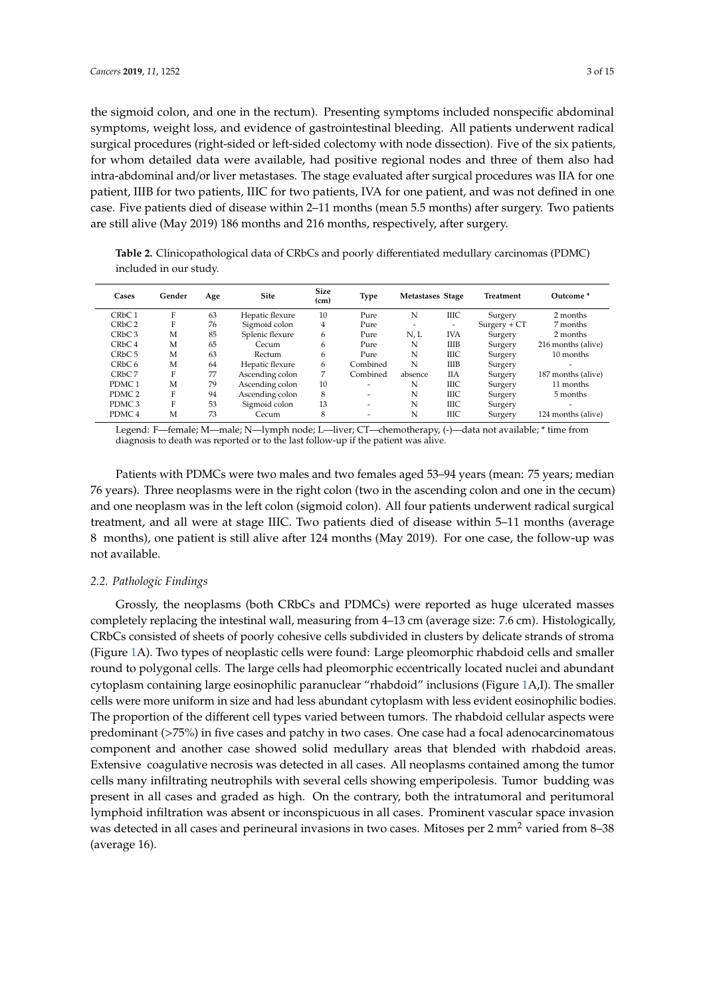the sigmoid colon, and one in the rectum). Presenting symptoms included nonspecific abdominal symptoms, weight loss, and evidence of gastrointestinal bleeding. All patients underwent radical surgical procedures (right-sided or left-sided colectomy with node dissection). Five of the six patients, for whom detailed data were available, had positive regional nodes and three of them also had intra-abdominal and/or liver metastases. The stage evaluated after surgical procedures was IIA for one patient, IIIB for two patients, IIIC for two patients, IVA for one patient, and was not defined in one case. Five patients died of disease within 2–11 months (mean 5.5 months) after surgery. Two patients are still alive (May 2019) 186 months and 216 months, respectively, after surgery.

<span id="page-2-0"></span>**Table 2.** Clinicopathological data of CRbCs and poorly differentiated medullary carcinomas (PDMC) included in our study.

| Cases                          | Gender | Age | <b>Site</b>     | <b>Size</b><br>(c <sub>m</sub> ) | <b>Type</b>              | Metastases Stage         |             | <b>Treatment</b> | Outcome*           |
|--------------------------------|--------|-----|-----------------|----------------------------------|--------------------------|--------------------------|-------------|------------------|--------------------|
| CRbC1                          | F      | 63  | Hepatic flexure | 10                               | Pure                     | N                        | ШC          | Surgery          | 2 months           |
| CRbC2                          | F      | 76  | Sigmoid colon   | 4                                | Pure                     | $\overline{\phantom{a}}$ | -           | $Surgery + CT$   | 7 months           |
| CR <sub>b</sub> C <sub>3</sub> | М      | 85  | Splenic flexure | 6                                | Pure                     | N, L                     | <b>IVA</b>  | Surgery          | 2 months           |
| CRbC <sub>4</sub>              | M      | 65  | Cecum           | h                                | Pure                     | N                        | <b>IIIB</b> | Surgery          | 216 months (alive) |
| CR <sub>b</sub> C <sub>5</sub> | M      | 63  | Rectum          | 6                                | Pure                     | N                        | <b>IIIC</b> | Surgery          | 10 months          |
| CR <sub>b</sub> C <sub>6</sub> | М      | 64  | Hepatic flexure | 6                                | Combined                 | N                        | <b>IIIB</b> | Surgery          | ۰                  |
| CR <sub>b</sub> C <sub>7</sub> | F      | 77  | Ascending colon | 7                                | Combined                 | absence                  | IIА         | Surgery          | 187 months (alive) |
| PDMC <sub>1</sub>              | M      | 79  | Ascending colon | 10                               | -                        | N                        | ШC          | Surgery          | 11 months          |
| PDMC <sub>2</sub>              | F      | 94  | Ascending colon | 8                                | $\overline{\phantom{a}}$ | N                        | ШC          | Surgery          | 5 months           |
| PDMC <sub>3</sub>              | F      | 53  | Sigmoid colon   | 13                               | $\overline{\phantom{0}}$ | N                        | ШC          | Surgery          |                    |
| PDMC <sub>4</sub>              | М      | 73  | Cecum           | 8                                | $\overline{\phantom{0}}$ | N                        | <b>IIIC</b> | Surgery          | 124 months (alive) |

Legend: F—female; M—male; N—lymph node; L—liver; CT—chemotherapy, (-)—data not available; \* time from diagnosis to death was reported or to the last follow-up if the patient was alive.

Patients with PDMCs were two males and two females aged 53–94 years (mean: 75 years; median 76 years). Three neoplasms were in the right colon (two in the ascending colon and one in the cecum) and one neoplasm was in the left colon (sigmoid colon). All four patients underwent radical surgical treatment, and all were at stage IIIC. Two patients died of disease within 5–11 months (average 8 months), one patient is still alive after 124 months (May 2019). For one case, the follow-up was not available.

## *2.2. Pathologic Findings*

Grossly, the neoplasms (both CRbCs and PDMCs) were reported as huge ulcerated masses completely replacing the intestinal wall, measuring from 4–13 cm (average size: 7.6 cm). Histologically, CRbCs consisted of sheets of poorly cohesive cells subdivided in clusters by delicate strands of stroma (Figure [1A](#page-3-0)). Two types of neoplastic cells were found: Large pleomorphic rhabdoid cells and smaller round to polygonal cells. The large cells had pleomorphic eccentrically located nuclei and abundant cytoplasm containing large eosinophilic paranuclear "rhabdoid" inclusions (Figure [1A](#page-3-0),I). The smaller cells were more uniform in size and had less abundant cytoplasm with less evident eosinophilic bodies. The proportion of the different cell types varied between tumors. The rhabdoid cellular aspects were predominant (>75%) in five cases and patchy in two cases. One case had a focal adenocarcinomatous component and another case showed solid medullary areas that blended with rhabdoid areas. Extensive coagulative necrosis was detected in all cases. All neoplasms contained among the tumor cells many infiltrating neutrophils with several cells showing emperipolesis. Tumor budding was present in all cases and graded as high. On the contrary, both the intratumoral and peritumoral lymphoid infiltration was absent or inconspicuous in all cases. Prominent vascular space invasion was detected in all cases and perineural invasions in two cases. Mitoses per 2 mm<sup>2</sup> varied from 8–38 (average 16).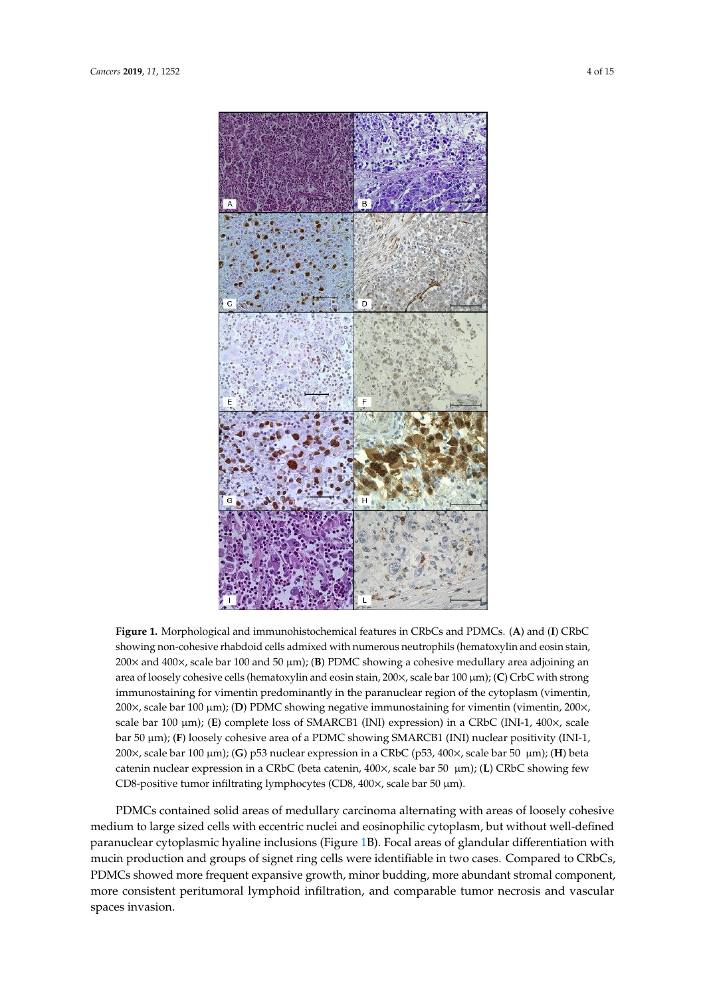<span id="page-3-0"></span>

Figure 1. Morphological and immunohistochemical features in CRbCs and PDMCs. (A) and (I) CRbC showing non-cohesive rhabdoid cells admixed with numerous neutrophils (hematoxylin and eosin stain, 141 stain, 200× and 400×, scale bar 100 and 50 µm); (**B**) PDMC showing a cohesive medullary area 200× and 400×, scale bar 100 and 50 µm); (**B**) PDMC showing a cohesive medullary area adjoining an area of loosely cohesive cells (hematoxylin and eosin stain, 200x, scale bar 100  $\mu$ m); (C) CrbC with strong immunostaining for vimentin predominantly in the paranuclear region of the cytoplasm (vimentin, 200×, scale bar 100 μm); (**D**) PDMC showing negative immunostaining for vimentin (vimentin, 200×, scale bar 100 μm); (**E**) complete loss of SMARCB1 (INI) expression) in a CRbC (INI-1, 400×, scale bar 50 µm); (**F**) loosely cohesive area of a PDMC showing SMARCB1 (INI) nuclear positivity (INI-1, 200 $\times$ , scale bar 100 µm); (G) p53 nuclear expression in a CRbC (p53, 400 $\times$ , scale bar 50 µm); (H) beta catenin nuclear expression in a CRbC (beta catenin, 400×, scale bar 50 µm); (**L**) CRbC showing few 149 (**L**) CRbC showing few CD8-positive tumor infiltrating lymphocytes (CD8, 400×, scale bar 50 µm). CD8-positive tumor infiltrating lymphocytes (CD8, 400×, scale bar 50 µm).

PDMCs contained solid areas of medullary carcinoma alternating with areas of loosely cohesive paranuclear cytoplasmic hyaline inclusions (Figure 1B). Focal areas of glandular differentiation with mucin production and groups of signet ring cells were identifiable in two cases. Compared to CRbCs, PDMCs showed more frequent expansive growth, minor budding, more abundant stromal component, more consistent peritumoral lymphoid infiltration, and comparable tumor necrosis and vascular spaces invasion. medium to large sized cells with eccentric nuclei and eosinophilic cytoplasm, but without well-defined

156 Somatic mutation analysis by next gereration sequencing (NGS) sequencing was possible in all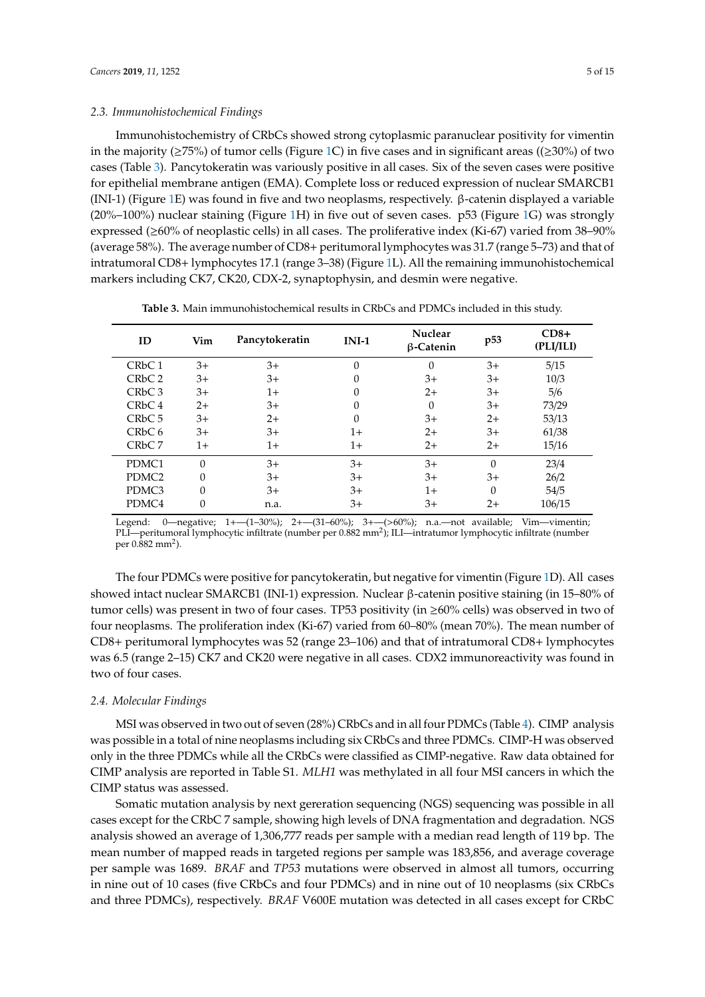#### *2.3. Immunohistochemical Findings*

Immunohistochemistry of CRbCs showed strong cytoplasmic paranuclear positivity for vimentin in the majority ( $\geq$ 75%) of tumor cells (Figure [1C](#page-3-0)) in five cases and in significant areas (( $\geq$ 30%) of two cases (Table [3\)](#page-4-0). Pancytokeratin was variously positive in all cases. Six of the seven cases were positive for epithelial membrane antigen (EMA). Complete loss or reduced expression of nuclear SMARCB1 (INI-1) (Figure [1E](#page-3-0)) was found in five and two neoplasms, respectively. β-catenin displayed a variable (20%–100%) nuclear staining (Figure [1H](#page-3-0)) in five out of seven cases. p53 (Figure [1G](#page-3-0)) was strongly expressed (≥60% of neoplastic cells) in all cases. The proliferative index (Ki-67) varied from 38–90% (average 58%). The average number of CD8+ peritumoral lymphocytes was 31.7 (range 5–73) and that of intratumoral CD8+ lymphocytes 17.1 (range 3–38) (Figure [1L](#page-3-0)). All the remaining immunohistochemical markers including CK7, CK20, CDX-2, synaptophysin, and desmin were negative.

<span id="page-4-0"></span>

| ID                             | Vim      | Pancytokeratin | $INI-1$  | Nuclear<br>$\beta$ -Catenin | p <sub>53</sub> | $CD8+$<br>(PLI/ILI) |
|--------------------------------|----------|----------------|----------|-----------------------------|-----------------|---------------------|
| CR <sub>b</sub> C <sub>1</sub> | $3+$     | $3+$           | 0        | $\Omega$                    | $3+$            | 5/15                |
| CR <sub>b</sub> C <sub>2</sub> | $3+$     | $3+$           | 0        | $3+$                        | $3+$            | 10/3                |
| CR <sub>b</sub> C <sub>3</sub> | $3+$     | $1+$           | 0        | $2+$                        | 3+              | 5/6                 |
| CR <sub>b</sub> C <sub>4</sub> | $2+$     | $3+$           | 0        | $\Omega$                    | $3+$            | 73/29               |
| CR <sub>b</sub> C <sub>5</sub> | $3+$     | $2+$           | $\Omega$ | $3+$                        | $2+$            | 53/13               |
| CR <sub>b</sub> C <sub>6</sub> | $3+$     | $3+$           | 1+       | $2+$                        | $3+$            | 61/38               |
| CR <sub>b</sub> C <sub>7</sub> | 1+       | $1+$           | $1+$     | $2+$                        | $2+$            | 15/16               |
| PDMC1                          | $\theta$ | $3+$           | $3+$     | $3+$                        | $\Omega$        | 23/4                |
| PDMC <sub>2</sub>              | $\Omega$ | $3+$           | $3+$     | $3+$                        | $3+$            | 26/2                |
| PDMC3                          | $\Omega$ | $3+$           | $3+$     | 1+                          | $\Omega$        | 54/5                |
| PDMC4                          | 0        | n.a.           | $3+$     | 3+                          | $2+$            | 106/15              |

**Table 3.** Main immunohistochemical results in CRbCs and PDMCs included in this study.

Legend: 0—negative; 1+—(1–30%); 2+—(31–60%); 3+—(>60%); n.a.—not available; Vim—vimentin; PLI—peritumoral lymphocytic infiltrate (number per 0.882 mm²); ILI—intratumor lymphocytic infiltrate (number per 0.882 mm<sup>2</sup>).

The four PDMCs were positive for pancytokeratin, but negative for vimentin (Figure [1D](#page-3-0)). All cases showed intact nuclear SMARCB1 (INI-1) expression. Nuclear β-catenin positive staining (in 15–80% of tumor cells) was present in two of four cases. TP53 positivity (in ≥60% cells) was observed in two of four neoplasms. The proliferation index (Ki-67) varied from 60–80% (mean 70%). The mean number of CD8+ peritumoral lymphocytes was 52 (range 23–106) and that of intratumoral CD8+ lymphocytes was 6.5 (range 2–15) CK7 and CK20 were negative in all cases. CDX2 immunoreactivity was found in two of four cases.

## *2.4. Molecular Findings*

MSI was observed in two out of seven (28%) CRbCs and in all four PDMCs (Table [4\)](#page-5-0). CIMP analysis was possible in a total of nine neoplasms including six CRbCs and three PDMCs. CIMP-H was observed only in the three PDMCs while all the CRbCs were classified as CIMP-negative. Raw data obtained for CIMP analysis are reported in Table S1. *MLH1* was methylated in all four MSI cancers in which the CIMP status was assessed.

Somatic mutation analysis by next gereration sequencing (NGS) sequencing was possible in all cases except for the CRbC 7 sample, showing high levels of DNA fragmentation and degradation. NGS analysis showed an average of 1,306,777 reads per sample with a median read length of 119 bp. The mean number of mapped reads in targeted regions per sample was 183,856, and average coverage per sample was 1689. *BRAF* and *TP53* mutations were observed in almost all tumors, occurring in nine out of 10 cases (five CRbCs and four PDMCs) and in nine out of 10 neoplasms (six CRbCs and three PDMCs), respectively. *BRAF* V600E mutation was detected in all cases except for CRbC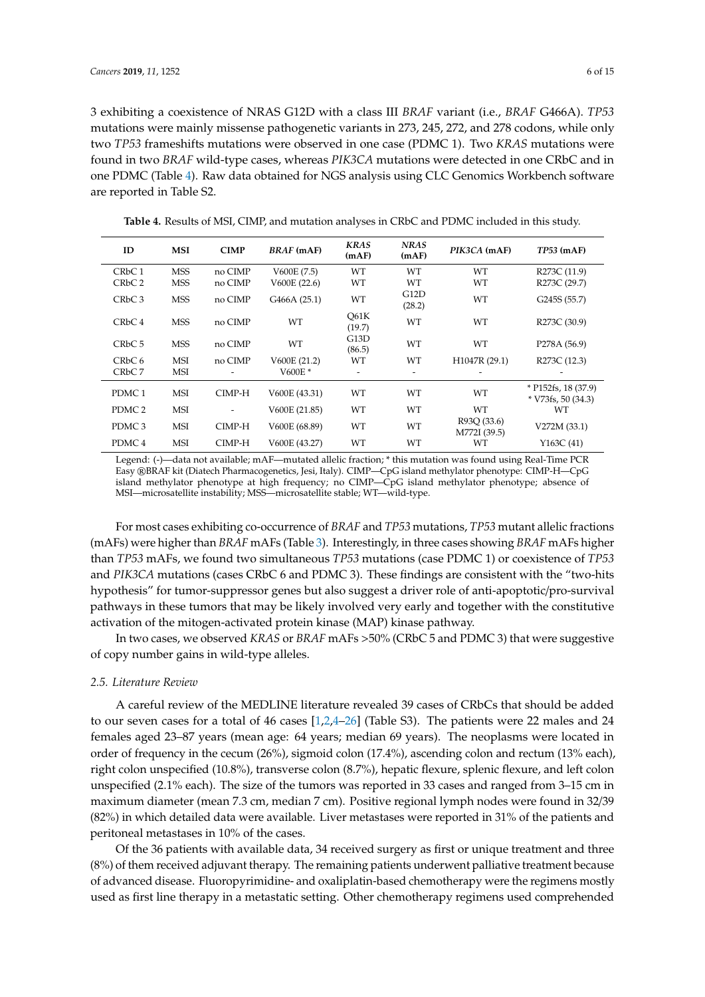3 exhibiting a coexistence of NRAS G12D with a class III *BRAF* variant (i.e., *BRAF* G466A). *TP53* mutations were mainly missense pathogenetic variants in 273, 245, 272, and 278 codons, while only two *TP53* frameshifts mutations were observed in one case (PDMC 1). Two *KRAS* mutations were found in two *BRAF* wild-type cases, whereas *PIK3CA* mutations were detected in one CRbC and in one PDMC (Table [4\)](#page-5-0). Raw data obtained for NGS analysis using CLC Genomics Workbench software are reported in Table S2.

**Table 4.** Results of MSI, CIMP, and mutation analyses in CRbC and PDMC included in this study.

<span id="page-5-0"></span>

| ID                             | <b>MSI</b> | <b>CIMP</b> | <b>BRAF</b> (mAF) | <b>KRAS</b><br>(mAF)     | <b>NRAS</b><br>(mAF) | PIK3CA (mAF)                | $TP53$ (mAF)                                               |
|--------------------------------|------------|-------------|-------------------|--------------------------|----------------------|-----------------------------|------------------------------------------------------------|
| CRbC1                          | <b>MSS</b> | no CIMP     | V600E(7.5)        | WT                       | WT                   | WT                          | R <sub>273</sub> C (11.9)                                  |
| CRbC2                          | <b>MSS</b> | no CIMP     | V600E (22.6)      | WT                       | WТ                   | WT                          | R <sub>273</sub> C (29.7)                                  |
| CR <sub>b</sub> C <sub>3</sub> | <b>MSS</b> | no CIMP     | G466A (25.1)      | WT                       | G12D<br>(28.2)       | WT                          | G245S (55.7)                                               |
| CR <sub>b</sub> C <sub>4</sub> | <b>MSS</b> | no CIMP     | WT                | O61K<br>(19.7)           | WT                   | WT                          | R <sub>273</sub> C (30.9)                                  |
| CR <sub>b</sub> C <sub>5</sub> | <b>MSS</b> | no CIMP     | WT                | G13D<br>(86.5)           | WT                   | WT                          | P <sub>278</sub> A (56.9)                                  |
| CR <sub>b</sub> C <sub>6</sub> | MSI        | no CIMP     | V600E (21.2)      | WT                       | WT                   | H1047R (29.1)               | R <sub>273</sub> C (12.3)                                  |
| CR <sub>b</sub> C <sub>7</sub> | MSI        |             | V600 $E^*$        | $\overline{\phantom{a}}$ |                      |                             |                                                            |
| PDMC <sub>1</sub>              | MSI        | CIMP-H      | V600E (43.31)     | WT                       | WT                   | WT                          | $*$ P <sub>152fs</sub> , 18 (37.9)<br>$*$ V73fs, 50 (34.3) |
| PDMC <sub>2</sub>              | MSI        |             | V600E (21.85)     | WT                       | WT                   | WT                          | WТ                                                         |
| PDMC <sub>3</sub>              | MSI        | CIMP-H      | V600E (68.89)     | WT                       | WT                   | R93Q (33.6)<br>M772I (39.5) | V272M (33.1)                                               |
| PDMC <sub>4</sub>              | MSI        | CIMP-H      | V600E (43.27)     | WT                       | WT                   | WT                          | Y163C(41)                                                  |

Legend: (-)—data not available; mAF—mutated allelic fraction; \* this mutation was found using Real-Time PCR Easy ®BRAF kit (Diatech Pharmacogenetics, Jesi, Italy). CIMP—CpG island methylator phenotype: CIMP-H—CpG island methylator phenotype at high frequency; no CIMP—CpG island methylator phenotype; absence of MSI—microsatellite instability; MSS—microsatellite stable; WT—wild-type.

For most cases exhibiting co-occurrence of *BRAF* and *TP53* mutations, *TP53* mutant allelic fractions (mAFs) were higher than *BRAF* mAFs (Table [3\)](#page-4-0). Interestingly, in three cases showing *BRAF* mAFs higher than *TP53* mAFs, we found two simultaneous *TP53* mutations (case PDMC 1) or coexistence of *TP53* and *PIK3CA* mutations (cases CRbC 6 and PDMC 3). These findings are consistent with the "two-hits hypothesis" for tumor-suppressor genes but also suggest a driver role of anti-apoptotic/pro-survival pathways in these tumors that may be likely involved very early and together with the constitutive activation of the mitogen-activated protein kinase (MAP) kinase pathway.

In two cases, we observed *KRAS* or *BRAF* mAFs >50% (CRbC 5 and PDMC 3) that were suggestive of copy number gains in wild-type alleles.

# *2.5. Literature Review*

A careful review of the MEDLINE literature revealed 39 cases of CRbCs that should be added to our seven cases for a total of 46 cases [\[1,](#page-11-0)[2](#page-11-1)[,4](#page-11-3)[–26\]](#page-12-6) (Table S3). The patients were 22 males and 24 females aged 23–87 years (mean age: 64 years; median 69 years). The neoplasms were located in order of frequency in the cecum (26%), sigmoid colon (17.4%), ascending colon and rectum (13% each), right colon unspecified (10.8%), transverse colon (8.7%), hepatic flexure, splenic flexure, and left colon unspecified (2.1% each). The size of the tumors was reported in 33 cases and ranged from 3–15 cm in maximum diameter (mean 7.3 cm, median 7 cm). Positive regional lymph nodes were found in 32/39 (82%) in which detailed data were available. Liver metastases were reported in 31% of the patients and peritoneal metastases in 10% of the cases.

Of the 36 patients with available data, 34 received surgery as first or unique treatment and three (8%) of them received adjuvant therapy. The remaining patients underwent palliative treatment because of advanced disease. Fluoropyrimidine- and oxaliplatin-based chemotherapy were the regimens mostly used as first line therapy in a metastatic setting. Other chemotherapy regimens used comprehended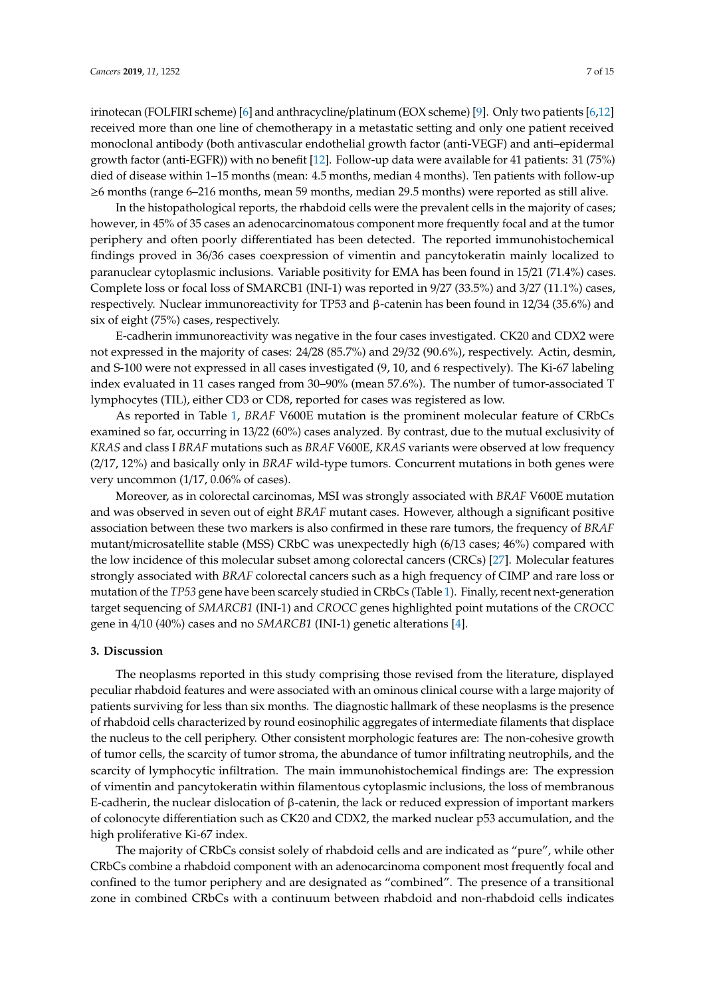irinotecan (FOLFIRI scheme) [\[6\]](#page-11-5) and anthracycline/platinum (EOX scheme) [\[9\]](#page-12-2). Only two patients [\[6,](#page-11-5)[12\]](#page-12-5) received more than one line of chemotherapy in a metastatic setting and only one patient received monoclonal antibody (both antivascular endothelial growth factor (anti-VEGF) and anti–epidermal growth factor (anti-EGFR)) with no benefit [\[12\]](#page-12-5). Follow-up data were available for 41 patients: 31 (75%) died of disease within 1–15 months (mean: 4.5 months, median 4 months). Ten patients with follow-up ≥6 months (range 6–216 months, mean 59 months, median 29.5 months) were reported as still alive.

In the histopathological reports, the rhabdoid cells were the prevalent cells in the majority of cases; however, in 45% of 35 cases an adenocarcinomatous component more frequently focal and at the tumor periphery and often poorly differentiated has been detected. The reported immunohistochemical findings proved in 36/36 cases coexpression of vimentin and pancytokeratin mainly localized to paranuclear cytoplasmic inclusions. Variable positivity for EMA has been found in 15/21 (71.4%) cases. Complete loss or focal loss of SMARCB1 (INI-1) was reported in 9/27 (33.5%) and 3/27 (11.1%) cases, respectively. Nuclear immunoreactivity for TP53 and β-catenin has been found in 12/34 (35.6%) and six of eight (75%) cases, respectively.

E-cadherin immunoreactivity was negative in the four cases investigated. CK20 and CDX2 were not expressed in the majority of cases: 24/28 (85.7%) and 29/32 (90.6%), respectively. Actin, desmin, and S-100 were not expressed in all cases investigated (9, 10, and 6 respectively). The Ki-67 labeling index evaluated in 11 cases ranged from 30–90% (mean 57.6%). The number of tumor-associated T lymphocytes (TIL), either CD3 or CD8, reported for cases was registered as low.

As reported in Table [1,](#page-1-0) *BRAF* V600E mutation is the prominent molecular feature of CRbCs examined so far, occurring in 13/22 (60%) cases analyzed. By contrast, due to the mutual exclusivity of *KRAS* and class I *BRAF* mutations such as *BRAF* V600E, *KRAS* variants were observed at low frequency (2/17, 12%) and basically only in *BRAF* wild-type tumors. Concurrent mutations in both genes were very uncommon (1/17, 0.06% of cases).

Moreover, as in colorectal carcinomas, MSI was strongly associated with *BRAF* V600E mutation and was observed in seven out of eight *BRAF* mutant cases. However, although a significant positive association between these two markers is also confirmed in these rare tumors, the frequency of *BRAF* mutant/microsatellite stable (MSS) CRbC was unexpectedly high (6/13 cases; 46%) compared with the low incidence of this molecular subset among colorectal cancers (CRCs) [\[27\]](#page-12-7). Molecular features strongly associated with *BRAF* colorectal cancers such as a high frequency of CIMP and rare loss or mutation of the *TP53* gene have been scarcely studied in CRbCs (Table [1\)](#page-1-0). Finally, recent next-generation target sequencing of *SMARCB1* (INI-1) and *CROCC* genes highlighted point mutations of the *CROCC* gene in 4/10 (40%) cases and no *SMARCB1* (INI-1) genetic alterations [\[4\]](#page-11-3).

#### **3. Discussion**

The neoplasms reported in this study comprising those revised from the literature, displayed peculiar rhabdoid features and were associated with an ominous clinical course with a large majority of patients surviving for less than six months. The diagnostic hallmark of these neoplasms is the presence of rhabdoid cells characterized by round eosinophilic aggregates of intermediate filaments that displace the nucleus to the cell periphery. Other consistent morphologic features are: The non-cohesive growth of tumor cells, the scarcity of tumor stroma, the abundance of tumor infiltrating neutrophils, and the scarcity of lymphocytic infiltration. The main immunohistochemical findings are: The expression of vimentin and pancytokeratin within filamentous cytoplasmic inclusions, the loss of membranous E-cadherin, the nuclear dislocation of β-catenin, the lack or reduced expression of important markers of colonocyte differentiation such as CK20 and CDX2, the marked nuclear p53 accumulation, and the high proliferative Ki-67 index.

The majority of CRbCs consist solely of rhabdoid cells and are indicated as "pure", while other CRbCs combine a rhabdoid component with an adenocarcinoma component most frequently focal and confined to the tumor periphery and are designated as "combined". The presence of a transitional zone in combined CRbCs with a continuum between rhabdoid and non-rhabdoid cells indicates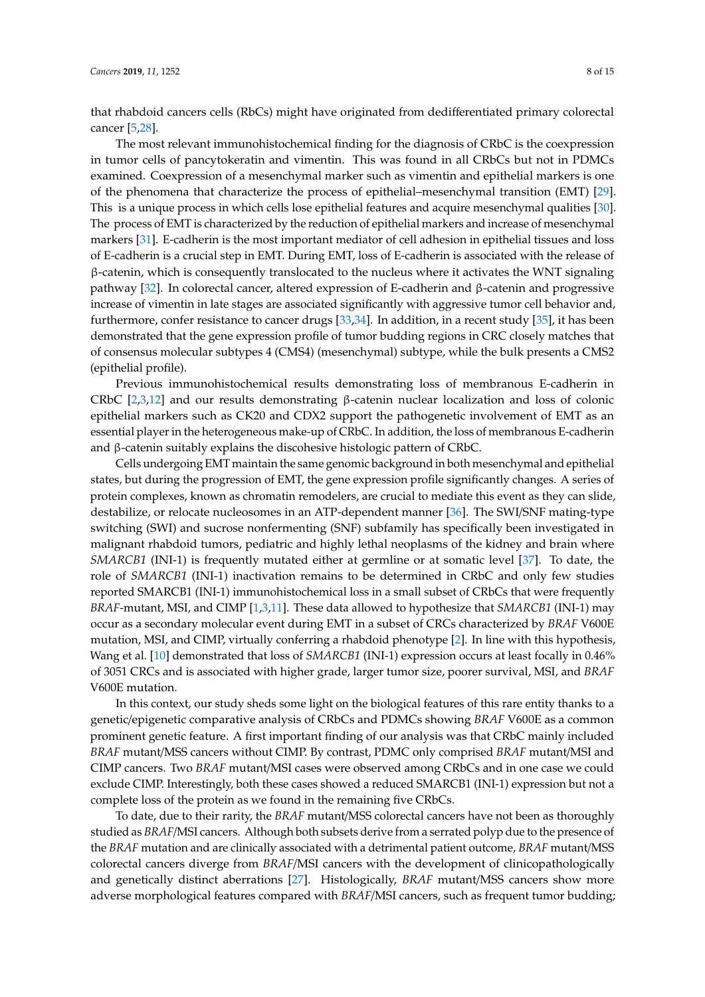that rhabdoid cancers cells (RbCs) might have originated from dedifferentiated primary colorectal cancer [\[5,](#page-11-4)[28\]](#page-12-8).

The most relevant immunohistochemical finding for the diagnosis of CRbC is the coexpression in tumor cells of pancytokeratin and vimentin. This was found in all CRbCs but not in PDMCs examined. Coexpression of a mesenchymal marker such as vimentin and epithelial markers is one of the phenomena that characterize the process of epithelial–mesenchymal transition (EMT) [\[29\]](#page-13-0). This is a unique process in which cells lose epithelial features and acquire mesenchymal qualities [\[30\]](#page-13-1). The process of EMT is characterized by the reduction of epithelial markers and increase of mesenchymal markers [\[31\]](#page-13-2). E-cadherin is the most important mediator of cell adhesion in epithelial tissues and loss of E-cadherin is a crucial step in EMT. During EMT, loss of E-cadherin is associated with the release of β-catenin, which is consequently translocated to the nucleus where it activates the WNT signaling pathway [\[32\]](#page-13-3). In colorectal cancer, altered expression of E-cadherin and β-catenin and progressive increase of vimentin in late stages are associated significantly with aggressive tumor cell behavior and, furthermore, confer resistance to cancer drugs [\[33](#page-13-4)[,34\]](#page-13-5). In addition, in a recent study [\[35\]](#page-13-6), it has been demonstrated that the gene expression profile of tumor budding regions in CRC closely matches that of consensus molecular subtypes 4 (CMS4) (mesenchymal) subtype, while the bulk presents a CMS2 (epithelial profile).

Previous immunohistochemical results demonstrating loss of membranous E-cadherin in CRbC [\[2](#page-11-1)[,3](#page-11-2)[,12\]](#page-12-5) and our results demonstrating β-catenin nuclear localization and loss of colonic epithelial markers such as CK20 and CDX2 support the pathogenetic involvement of EMT as an essential player in the heterogeneous make-up of CRbC. In addition, the loss of membranous E-cadherin and β-catenin suitably explains the discohesive histologic pattern of CRbC.

Cells undergoing EMT maintain the same genomic background in both mesenchymal and epithelial states, but during the progression of EMT, the gene expression profile significantly changes. A series of protein complexes, known as chromatin remodelers, are crucial to mediate this event as they can slide, destabilize, or relocate nucleosomes in an ATP-dependent manner [\[36\]](#page-13-7). The SWI/SNF mating-type switching (SWI) and sucrose nonfermenting (SNF) subfamily has specifically been investigated in malignant rhabdoid tumors, pediatric and highly lethal neoplasms of the kidney and brain where *SMARCB1* (INI-1) is frequently mutated either at germline or at somatic level [\[37\]](#page-13-8). To date, the role of *SMARCB1* (INI-1) inactivation remains to be determined in CRbC and only few studies reported SMARCB1 (INI-1) immunohistochemical loss in a small subset of CRbCs that were frequently *BRAF*-mutant, MSI, and CIMP [\[1](#page-11-0)[,3](#page-11-2)[,11\]](#page-12-4). These data allowed to hypothesize that *SMARCB1* (INI-1) may occur as a secondary molecular event during EMT in a subset of CRCs characterized by *BRAF* V600E mutation, MSI, and CIMP, virtually conferring a rhabdoid phenotype [\[2\]](#page-11-1). In line with this hypothesis, Wang et al. [\[10\]](#page-12-3) demonstrated that loss of *SMARCB1* (INI-1) expression occurs at least focally in 0.46% of 3051 CRCs and is associated with higher grade, larger tumor size, poorer survival, MSI, and *BRAF* V600E mutation.

In this context, our study sheds some light on the biological features of this rare entity thanks to a genetic/epigenetic comparative analysis of CRbCs and PDMCs showing *BRAF* V600E as a common prominent genetic feature. A first important finding of our analysis was that CRbC mainly included *BRAF* mutant/MSS cancers without CIMP. By contrast, PDMC only comprised *BRAF* mutant/MSI and CIMP cancers. Two *BRAF* mutant/MSI cases were observed among CRbCs and in one case we could exclude CIMP. Interestingly, both these cases showed a reduced SMARCB1 (INI-1) expression but not a complete loss of the protein as we found in the remaining five CRbCs.

To date, due to their rarity, the *BRAF* mutant/MSS colorectal cancers have not been as thoroughly studied as *BRAF*/MSI cancers. Although both subsets derive from a serrated polyp due to the presence of the *BRAF* mutation and are clinically associated with a detrimental patient outcome, *BRAF* mutant/MSS colorectal cancers diverge from *BRAF*/MSI cancers with the development of clinicopathologically and genetically distinct aberrations [\[27\]](#page-12-7). Histologically, *BRAF* mutant/MSS cancers show more adverse morphological features compared with *BRAF*/MSI cancers, such as frequent tumor budding;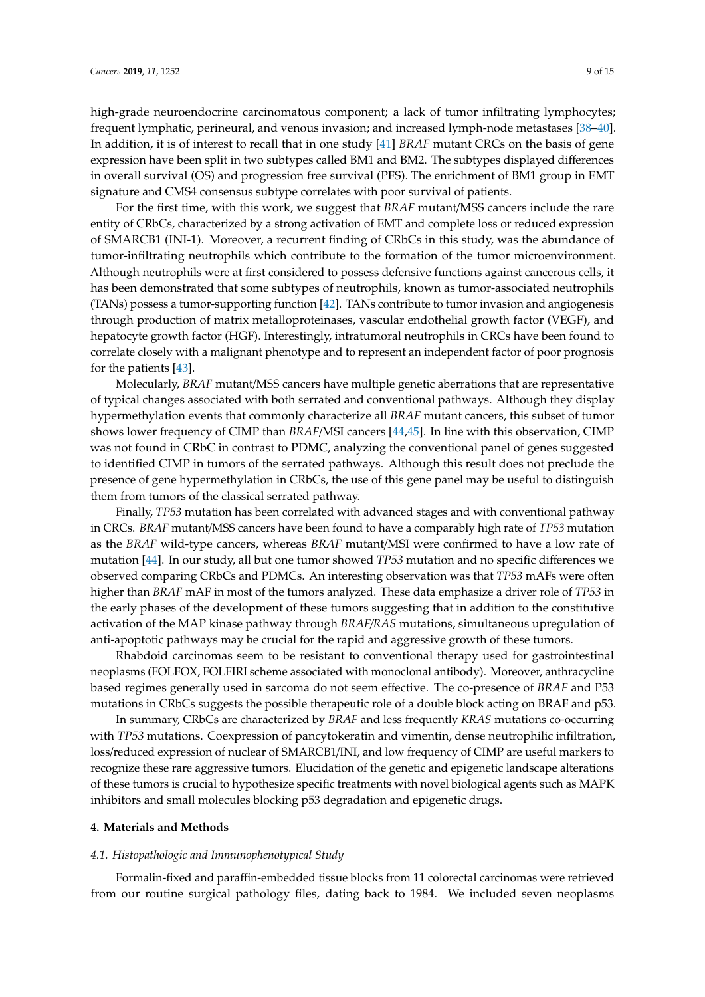high-grade neuroendocrine carcinomatous component; a lack of tumor infiltrating lymphocytes; frequent lymphatic, perineural, and venous invasion; and increased lymph-node metastases [\[38–](#page-13-9)[40\]](#page-13-10). In addition, it is of interest to recall that in one study [\[41\]](#page-13-11) *BRAF* mutant CRCs on the basis of gene expression have been split in two subtypes called BM1 and BM2. The subtypes displayed differences in overall survival (OS) and progression free survival (PFS). The enrichment of BM1 group in EMT signature and CMS4 consensus subtype correlates with poor survival of patients.

For the first time, with this work, we suggest that *BRAF* mutant/MSS cancers include the rare entity of CRbCs, characterized by a strong activation of EMT and complete loss or reduced expression of SMARCB1 (INI-1). Moreover, a recurrent finding of CRbCs in this study, was the abundance of tumor-infiltrating neutrophils which contribute to the formation of the tumor microenvironment. Although neutrophils were at first considered to possess defensive functions against cancerous cells, it has been demonstrated that some subtypes of neutrophils, known as tumor-associated neutrophils (TANs) possess a tumor-supporting function [\[42\]](#page-13-12). TANs contribute to tumor invasion and angiogenesis through production of matrix metalloproteinases, vascular endothelial growth factor (VEGF), and hepatocyte growth factor (HGF). Interestingly, intratumoral neutrophils in CRCs have been found to correlate closely with a malignant phenotype and to represent an independent factor of poor prognosis for the patients [\[43\]](#page-13-13).

Molecularly, *BRAF* mutant/MSS cancers have multiple genetic aberrations that are representative of typical changes associated with both serrated and conventional pathways. Although they display hypermethylation events that commonly characterize all *BRAF* mutant cancers, this subset of tumor shows lower frequency of CIMP than *BRAF*/MSI cancers [\[44,](#page-13-14)[45\]](#page-13-15). In line with this observation, CIMP was not found in CRbC in contrast to PDMC, analyzing the conventional panel of genes suggested to identified CIMP in tumors of the serrated pathways. Although this result does not preclude the presence of gene hypermethylation in CRbCs, the use of this gene panel may be useful to distinguish them from tumors of the classical serrated pathway.

Finally, *TP53* mutation has been correlated with advanced stages and with conventional pathway in CRCs. *BRAF* mutant/MSS cancers have been found to have a comparably high rate of *TP53* mutation as the *BRAF* wild-type cancers, whereas *BRAF* mutant/MSI were confirmed to have a low rate of mutation [\[44\]](#page-13-14). In our study, all but one tumor showed *TP53* mutation and no specific differences we observed comparing CRbCs and PDMCs. An interesting observation was that *TP53* mAFs were often higher than *BRAF* mAF in most of the tumors analyzed. These data emphasize a driver role of *TP53* in the early phases of the development of these tumors suggesting that in addition to the constitutive activation of the MAP kinase pathway through *BRAF*/*RAS* mutations, simultaneous upregulation of anti-apoptotic pathways may be crucial for the rapid and aggressive growth of these tumors.

Rhabdoid carcinomas seem to be resistant to conventional therapy used for gastrointestinal neoplasms (FOLFOX, FOLFIRI scheme associated with monoclonal antibody). Moreover, anthracycline based regimes generally used in sarcoma do not seem effective. The co-presence of *BRAF* and P53 mutations in CRbCs suggests the possible therapeutic role of a double block acting on BRAF and p53.

In summary, CRbCs are characterized by *BRAF* and less frequently *KRAS* mutations co-occurring with *TP53* mutations. Coexpression of pancytokeratin and vimentin, dense neutrophilic infiltration, loss/reduced expression of nuclear of SMARCB1/INI, and low frequency of CIMP are useful markers to recognize these rare aggressive tumors. Elucidation of the genetic and epigenetic landscape alterations of these tumors is crucial to hypothesize specific treatments with novel biological agents such as MAPK inhibitors and small molecules blocking p53 degradation and epigenetic drugs.

#### **4. Materials and Methods**

#### *4.1. Histopathologic and Immunophenotypical Study*

Formalin-fixed and paraffin-embedded tissue blocks from 11 colorectal carcinomas were retrieved from our routine surgical pathology files, dating back to 1984. We included seven neoplasms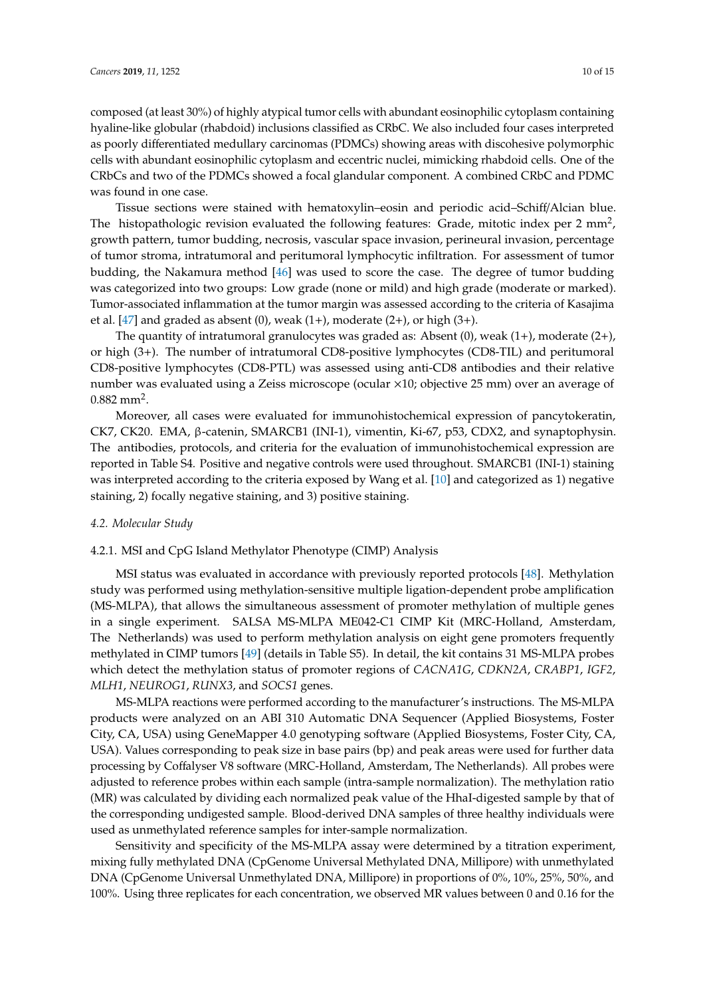composed (at least 30%) of highly atypical tumor cells with abundant eosinophilic cytoplasm containing hyaline-like globular (rhabdoid) inclusions classified as CRbC. We also included four cases interpreted as poorly differentiated medullary carcinomas (PDMCs) showing areas with discohesive polymorphic cells with abundant eosinophilic cytoplasm and eccentric nuclei, mimicking rhabdoid cells. One of the CRbCs and two of the PDMCs showed a focal glandular component. A combined CRbC and PDMC was found in one case.

Tissue sections were stained with hematoxylin–eosin and periodic acid–Schiff/Alcian blue. The histopathologic revision evaluated the following features: Grade, mitotic index per 2 mm<sup>2</sup>, growth pattern, tumor budding, necrosis, vascular space invasion, perineural invasion, percentage of tumor stroma, intratumoral and peritumoral lymphocytic infiltration. For assessment of tumor budding, the Nakamura method [\[46\]](#page-13-16) was used to score the case. The degree of tumor budding was categorized into two groups: Low grade (none or mild) and high grade (moderate or marked). Tumor-associated inflammation at the tumor margin was assessed according to the criteria of Kasajima et al.  $[47]$  and graded as absent (0), weak  $(1+)$ , moderate  $(2+)$ , or high  $(3+)$ .

The quantity of intratumoral granulocytes was graded as: Absent  $(0)$ , weak  $(1+)$ , moderate  $(2+)$ , or high (3+). The number of intratumoral CD8-positive lymphocytes (CD8-TIL) and peritumoral CD8-positive lymphocytes (CD8-PTL) was assessed using anti-CD8 antibodies and their relative number was evaluated using a Zeiss microscope (ocular  $\times$ 10; objective 25 mm) over an average of  $0.882 \text{ mm}^2$ .

Moreover, all cases were evaluated for immunohistochemical expression of pancytokeratin, CK7, CK20. EMA, β-catenin, SMARCB1 (INI-1), vimentin, Ki-67, p53, CDX2, and synaptophysin. The antibodies, protocols, and criteria for the evaluation of immunohistochemical expression are reported in Table S4. Positive and negative controls were used throughout. SMARCB1 (INI-1) staining was interpreted according to the criteria exposed by Wang et al. [\[10\]](#page-12-3) and categorized as 1) negative staining, 2) focally negative staining, and 3) positive staining.

## *4.2. Molecular Study*

# 4.2.1. MSI and CpG Island Methylator Phenotype (CIMP) Analysis

MSI status was evaluated in accordance with previously reported protocols [\[48\]](#page-14-1). Methylation study was performed using methylation-sensitive multiple ligation-dependent probe amplification (MS-MLPA), that allows the simultaneous assessment of promoter methylation of multiple genes in a single experiment. SALSA MS-MLPA ME042-C1 CIMP Kit (MRC-Holland, Amsterdam, The Netherlands) was used to perform methylation analysis on eight gene promoters frequently methylated in CIMP tumors [\[49\]](#page-14-2) (details in Table S5). In detail, the kit contains 31 MS-MLPA probes which detect the methylation status of promoter regions of *CACNA1G*, *CDKN2A*, *CRABP1*, *IGF2*, *MLH1*, *NEUROG1*, *RUNX3*, and *SOCS1* genes.

MS-MLPA reactions were performed according to the manufacturer's instructions. The MS-MLPA products were analyzed on an ABI 310 Automatic DNA Sequencer (Applied Biosystems, Foster City, CA, USA) using GeneMapper 4.0 genotyping software (Applied Biosystems, Foster City, CA, USA). Values corresponding to peak size in base pairs (bp) and peak areas were used for further data processing by Coffalyser V8 software (MRC-Holland, Amsterdam, The Netherlands). All probes were adjusted to reference probes within each sample (intra-sample normalization). The methylation ratio (MR) was calculated by dividing each normalized peak value of the HhaI-digested sample by that of the corresponding undigested sample. Blood-derived DNA samples of three healthy individuals were used as unmethylated reference samples for inter-sample normalization.

Sensitivity and specificity of the MS-MLPA assay were determined by a titration experiment, mixing fully methylated DNA (CpGenome Universal Methylated DNA, Millipore) with unmethylated DNA (CpGenome Universal Unmethylated DNA, Millipore) in proportions of 0%, 10%, 25%, 50%, and 100%. Using three replicates for each concentration, we observed MR values between 0 and 0.16 for the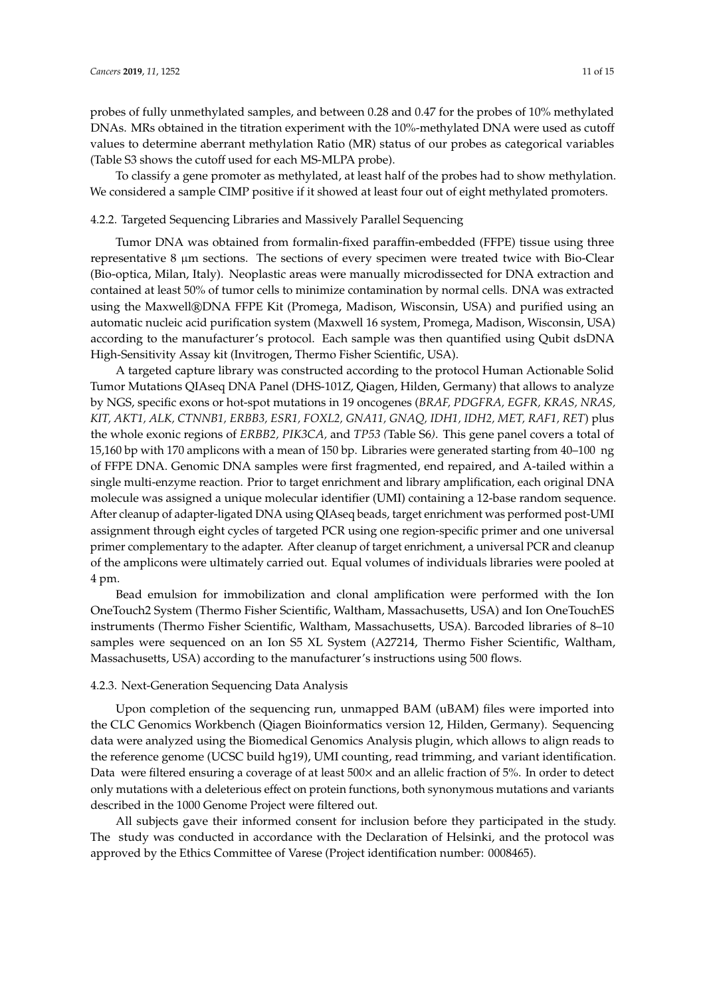probes of fully unmethylated samples, and between 0.28 and 0.47 for the probes of 10% methylated DNAs. MRs obtained in the titration experiment with the 10%-methylated DNA were used as cutoff values to determine aberrant methylation Ratio (MR) status of our probes as categorical variables (Table S3 shows the cutoff used for each MS-MLPA probe).

To classify a gene promoter as methylated, at least half of the probes had to show methylation. We considered a sample CIMP positive if it showed at least four out of eight methylated promoters.

# 4.2.2. Targeted Sequencing Libraries and Massively Parallel Sequencing

Tumor DNA was obtained from formalin-fixed paraffin-embedded (FFPE) tissue using three representative 8  $\mu$ m sections. The sections of every specimen were treated twice with Bio-Clear (Bio-optica, Milan, Italy). Neoplastic areas were manually microdissected for DNA extraction and contained at least 50% of tumor cells to minimize contamination by normal cells. DNA was extracted using the Maxwell®DNA FFPE Kit (Promega, Madison, Wisconsin, USA) and purified using an automatic nucleic acid purification system (Maxwell 16 system, Promega, Madison, Wisconsin, USA) according to the manufacturer's protocol. Each sample was then quantified using Qubit dsDNA High-Sensitivity Assay kit (Invitrogen, Thermo Fisher Scientific, USA).

A targeted capture library was constructed according to the protocol Human Actionable Solid Tumor Mutations QIAseq DNA Panel (DHS-101Z, Qiagen, Hilden, Germany) that allows to analyze by NGS, specific exons or hot-spot mutations in 19 oncogenes (*BRAF, PDGFRA, EGFR, KRAS, NRAS, KIT, AKT1, ALK, CTNNB1, ERBB3, ESR1, FOXL2, GNA11, GNAQ, IDH1, IDH2, MET, RAF1, RET*) plus the whole exonic regions of *ERBB2, PIK3CA,* and *TP53 (*Table S6*)*. This gene panel covers a total of 15,160 bp with 170 amplicons with a mean of 150 bp. Libraries were generated starting from 40–100 ng of FFPE DNA. Genomic DNA samples were first fragmented, end repaired, and A-tailed within a single multi-enzyme reaction. Prior to target enrichment and library amplification, each original DNA molecule was assigned a unique molecular identifier (UMI) containing a 12-base random sequence. After cleanup of adapter-ligated DNA using QIAseq beads, target enrichment was performed post-UMI assignment through eight cycles of targeted PCR using one region-specific primer and one universal primer complementary to the adapter. After cleanup of target enrichment, a universal PCR and cleanup of the amplicons were ultimately carried out. Equal volumes of individuals libraries were pooled at 4 pm.

Bead emulsion for immobilization and clonal amplification were performed with the Ion OneTouch2 System (Thermo Fisher Scientific, Waltham, Massachusetts, USA) and Ion OneTouchES instruments (Thermo Fisher Scientific, Waltham, Massachusetts, USA). Barcoded libraries of 8–10 samples were sequenced on an Ion S5 XL System (A27214, Thermo Fisher Scientific, Waltham, Massachusetts, USA) according to the manufacturer's instructions using 500 flows.

## 4.2.3. Next-Generation Sequencing Data Analysis

Upon completion of the sequencing run, unmapped BAM (uBAM) files were imported into the CLC Genomics Workbench (Qiagen Bioinformatics version 12, Hilden, Germany). Sequencing data were analyzed using the Biomedical Genomics Analysis plugin, which allows to align reads to the reference genome (UCSC build hg19), UMI counting, read trimming, and variant identification. Data were filtered ensuring a coverage of at least 500 $\times$  and an allelic fraction of 5%. In order to detect only mutations with a deleterious effect on protein functions, both synonymous mutations and variants described in the 1000 Genome Project were filtered out.

All subjects gave their informed consent for inclusion before they participated in the study. The study was conducted in accordance with the Declaration of Helsinki, and the protocol was approved by the Ethics Committee of Varese (Project identification number: 0008465).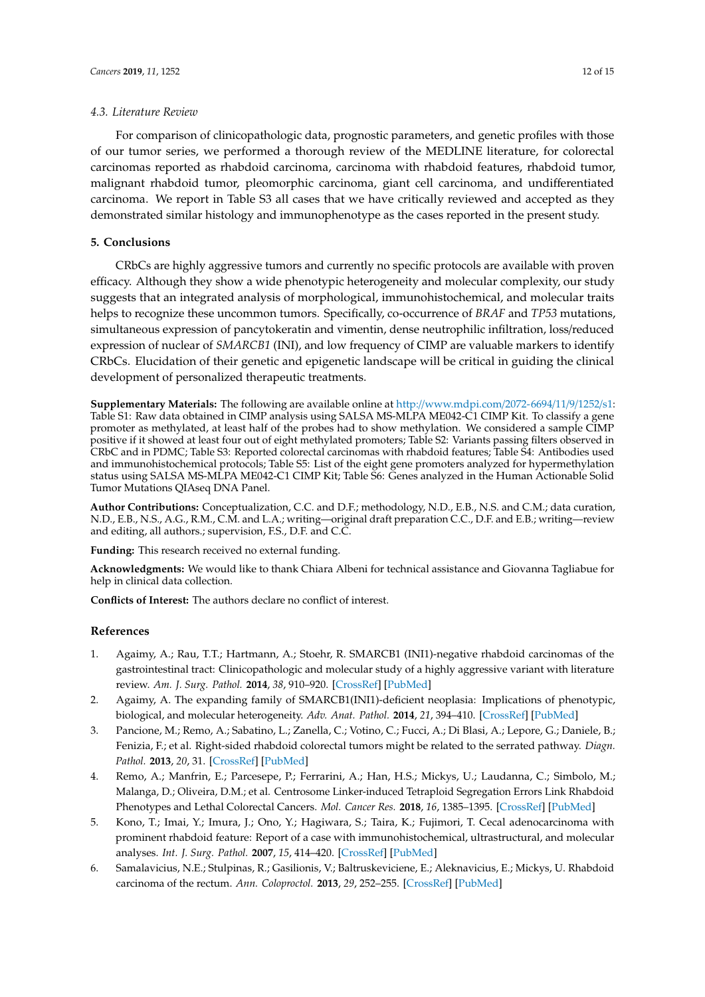# *4.3. Literature Review*

For comparison of clinicopathologic data, prognostic parameters, and genetic profiles with those of our tumor series, we performed a thorough review of the MEDLINE literature, for colorectal carcinomas reported as rhabdoid carcinoma, carcinoma with rhabdoid features, rhabdoid tumor, malignant rhabdoid tumor, pleomorphic carcinoma, giant cell carcinoma, and undifferentiated carcinoma. We report in Table S3 all cases that we have critically reviewed and accepted as they demonstrated similar histology and immunophenotype as the cases reported in the present study.

# **5. Conclusions**

CRbCs are highly aggressive tumors and currently no specific protocols are available with proven efficacy. Although they show a wide phenotypic heterogeneity and molecular complexity, our study suggests that an integrated analysis of morphological, immunohistochemical, and molecular traits helps to recognize these uncommon tumors. Specifically, co-occurrence of *BRAF* and *TP53* mutations, simultaneous expression of pancytokeratin and vimentin, dense neutrophilic infiltration, loss/reduced expression of nuclear of *SMARCB1* (INI), and low frequency of CIMP are valuable markers to identify CRbCs. Elucidation of their genetic and epigenetic landscape will be critical in guiding the clinical development of personalized therapeutic treatments.

**Supplementary Materials:** The following are available online at http://[www.mdpi.com](http://www.mdpi.com/2072-6694/11/9/1252/s1)/2072-6694/11/9/1252/s1: Table S1: Raw data obtained in CIMP analysis using SALSA MS-MLPA ME042-C1 CIMP Kit. To classify a gene promoter as methylated, at least half of the probes had to show methylation. We considered a sample CIMP positive if it showed at least four out of eight methylated promoters; Table S2: Variants passing filters observed in CRbC and in PDMC; Table S3: Reported colorectal carcinomas with rhabdoid features; Table S4: Antibodies used and immunohistochemical protocols; Table S5: List of the eight gene promoters analyzed for hypermethylation status using SALSA MS-MLPA ME042-C1 CIMP Kit; Table S6: Genes analyzed in the Human Actionable Solid Tumor Mutations QIAseq DNA Panel.

**Author Contributions:** Conceptualization, C.C. and D.F.; methodology, N.D., E.B., N.S. and C.M.; data curation, N.D., E.B., N.S., A.G., R.M., C.M. and L.A.; writing—original draft preparation C.C., D.F. and E.B.; writing—review and editing, all authors.; supervision, F.S., D.F. and C.C.

**Funding:** This research received no external funding.

**Acknowledgments:** We would like to thank Chiara Albeni for technical assistance and Giovanna Tagliabue for help in clinical data collection.

**Conflicts of Interest:** The authors declare no conflict of interest.

## **References**

- <span id="page-11-0"></span>1. Agaimy, A.; Rau, T.T.; Hartmann, A.; Stoehr, R. SMARCB1 (INI1)-negative rhabdoid carcinomas of the gastrointestinal tract: Clinicopathologic and molecular study of a highly aggressive variant with literature review. *Am. J. Surg. Pathol.* **2014**, *38*, 910–920. [\[CrossRef\]](http://dx.doi.org/10.1097/PAS.0000000000000173) [\[PubMed\]](http://www.ncbi.nlm.nih.gov/pubmed/24503755)
- <span id="page-11-1"></span>2. Agaimy, A. The expanding family of SMARCB1(INI1)-deficient neoplasia: Implications of phenotypic, biological, and molecular heterogeneity. *Adv. Anat. Pathol.* **2014**, *21*, 394–410. [\[CrossRef\]](http://dx.doi.org/10.1097/PAP.0000000000000038) [\[PubMed\]](http://www.ncbi.nlm.nih.gov/pubmed/25299309)
- <span id="page-11-2"></span>3. Pancione, M.; Remo, A.; Sabatino, L.; Zanella, C.; Votino, C.; Fucci, A.; Di Blasi, A.; Lepore, G.; Daniele, B.; Fenizia, F.; et al. Right-sided rhabdoid colorectal tumors might be related to the serrated pathway. *Diagn. Pathol.* **2013**, *20*, 31. [\[CrossRef\]](http://dx.doi.org/10.1186/1746-1596-8-31) [\[PubMed\]](http://www.ncbi.nlm.nih.gov/pubmed/23425390)
- <span id="page-11-3"></span>4. Remo, A.; Manfrin, E.; Parcesepe, P.; Ferrarini, A.; Han, H.S.; Mickys, U.; Laudanna, C.; Simbolo, M.; Malanga, D.; Oliveira, D.M.; et al. Centrosome Linker-induced Tetraploid Segregation Errors Link Rhabdoid Phenotypes and Lethal Colorectal Cancers. *Mol. Cancer Res.* **2018**, *16*, 1385–1395. [\[CrossRef\]](http://dx.doi.org/10.1158/1541-7786.MCR-18-0062) [\[PubMed\]](http://www.ncbi.nlm.nih.gov/pubmed/29784668)
- <span id="page-11-4"></span>5. Kono, T.; Imai, Y.; Imura, J.; Ono, Y.; Hagiwara, S.; Taira, K.; Fujimori, T. Cecal adenocarcinoma with prominent rhabdoid feature: Report of a case with immunohistochemical, ultrastructural, and molecular analyses. *Int. J. Surg. Pathol.* **2007**, *15*, 414–420. [\[CrossRef\]](http://dx.doi.org/10.1177/1066896907302418) [\[PubMed\]](http://www.ncbi.nlm.nih.gov/pubmed/17913953)
- <span id="page-11-5"></span>6. Samalavicius, N.E.; Stulpinas, R.; Gasilionis, V.; Baltruskeviciene, E.; Aleknavicius, E.; Mickys, U. Rhabdoid carcinoma of the rectum. *Ann. Coloproctol.* **2013**, *29*, 252–255. [\[CrossRef\]](http://dx.doi.org/10.3393/ac.2013.29.6.252) [\[PubMed\]](http://www.ncbi.nlm.nih.gov/pubmed/24466541)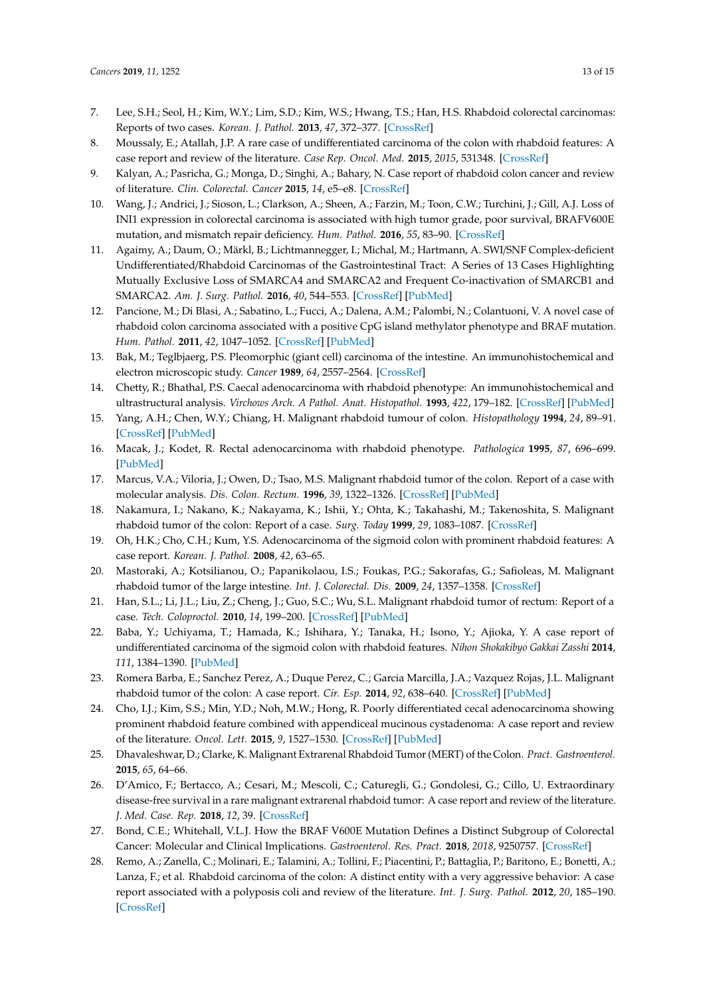- <span id="page-12-0"></span>7. Lee, S.H.; Seol, H.; Kim, W.Y.; Lim, S.D.; Kim, W.S.; Hwang, T.S.; Han, H.S. Rhabdoid colorectal carcinomas: Reports of two cases. *Korean. J. Pathol.* **2013**, *47*, 372–377. [\[CrossRef\]](http://dx.doi.org/10.4132/KoreanJPathol.2013.47.4.372)
- <span id="page-12-1"></span>8. Moussaly, E.; Atallah, J.P. A rare case of undifferentiated carcinoma of the colon with rhabdoid features: A case report and review of the literature. *Case Rep. Oncol. Med.* **2015**, *2015*, 531348. [\[CrossRef\]](http://dx.doi.org/10.1155/2015/531348)
- <span id="page-12-2"></span>9. Kalyan, A.; Pasricha, G.; Monga, D.; Singhi, A.; Bahary, N. Case report of rhabdoid colon cancer and review of literature. *Clin. Colorectal. Cancer* **2015**, *14*, e5–e8. [\[CrossRef\]](http://dx.doi.org/10.1016/j.clcc.2014.09.013)
- <span id="page-12-3"></span>10. Wang, J.; Andrici, J.; Sioson, L.; Clarkson, A.; Sheen, A.; Farzin, M.; Toon, C.W.; Turchini, J.; Gill, A.J. Loss of INI1 expression in colorectal carcinoma is associated with high tumor grade, poor survival, BRAFV600E mutation, and mismatch repair deficiency. *Hum. Pathol.* **2016**, *55*, 83–90. [\[CrossRef\]](http://dx.doi.org/10.1016/j.humpath.2016.04.018)
- <span id="page-12-4"></span>11. Agaimy, A.; Daum, O.; Märkl, B.; Lichtmannegger, I.; Michal, M.; Hartmann, A. SWI/SNF Complex-deficient Undifferentiated/Rhabdoid Carcinomas of the Gastrointestinal Tract: A Series of 13 Cases Highlighting Mutually Exclusive Loss of SMARCA4 and SMARCA2 and Frequent Co-inactivation of SMARCB1 and SMARCA2. *Am. J. Surg. Pathol.* **2016**, *40*, 544–553. [\[CrossRef\]](http://dx.doi.org/10.1097/PAS.0000000000000554) [\[PubMed\]](http://www.ncbi.nlm.nih.gov/pubmed/26551623)
- <span id="page-12-5"></span>12. Pancione, M.; Di Blasi, A.; Sabatino, L.; Fucci, A.; Dalena, A.M.; Palombi, N.; Colantuoni, V. A novel case of rhabdoid colon carcinoma associated with a positive CpG island methylator phenotype and BRAF mutation. *Hum. Pathol.* **2011**, *42*, 1047–1052. [\[CrossRef\]](http://dx.doi.org/10.1016/j.humpath.2010.10.016) [\[PubMed\]](http://www.ncbi.nlm.nih.gov/pubmed/21315413)
- 13. Bak, M.; Teglbjaerg, P.S. Pleomorphic (giant cell) carcinoma of the intestine. An immunohistochemical and electron microscopic study. *Cancer* **1989**, *64*, 2557–2564. [\[CrossRef\]](http://dx.doi.org/10.1002/1097-0142(19891215)64:12<2557::AID-CNCR2820641225>3.0.CO;2-G)
- 14. Chetty, R.; Bhathal, P.S. Caecal adenocarcinoma with rhabdoid phenotype: An immunohistochemical and ultrastructural analysis. *Virchows Arch. A Pathol. Anat. Histopathol.* **1993**, *422*, 179–182. [\[CrossRef\]](http://dx.doi.org/10.1007/BF01607171) [\[PubMed\]](http://www.ncbi.nlm.nih.gov/pubmed/7682022)
- 15. Yang, A.H.; Chen, W.Y.; Chiang, H. Malignant rhabdoid tumour of colon. *Histopathology* **1994**, *24*, 89–91. [\[CrossRef\]](http://dx.doi.org/10.1111/j.1365-2559.1994.tb01278.x) [\[PubMed\]](http://www.ncbi.nlm.nih.gov/pubmed/7848396)
- 16. Macak, J.; Kodet, R. Rectal adenocarcinoma with rhabdoid phenotype. *Pathologica* **1995**, *87*, 696–699. [\[PubMed\]](http://www.ncbi.nlm.nih.gov/pubmed/8927435)
- 17. Marcus, V.A.; Viloria, J.; Owen, D.; Tsao, M.S. Malignant rhabdoid tumor of the colon. Report of a case with molecular analysis. *Dis. Colon. Rectum.* **1996**, *39*, 1322–1326. [\[CrossRef\]](http://dx.doi.org/10.1007/BF02055131) [\[PubMed\]](http://www.ncbi.nlm.nih.gov/pubmed/8918447)
- 18. Nakamura, I.; Nakano, K.; Nakayama, K.; Ishii, Y.; Ohta, K.; Takahashi, M.; Takenoshita, S. Malignant rhabdoid tumor of the colon: Report of a case. *Surg. Today* **1999**, *29*, 1083–1087. [\[CrossRef\]](http://dx.doi.org/10.1007/s005950050649)
- 19. Oh, H.K.; Cho, C.H.; Kum, Y.S. Adenocarcinoma of the sigmoid colon with prominent rhabdoid features: A case report. *Korean. J. Pathol.* **2008**, *42*, 63–65.
- 20. Mastoraki, A.; Kotsilianou, O.; Papanikolaou, I.S.; Foukas, P.G.; Sakorafas, G.; Safioleas, M. Malignant rhabdoid tumor of the large intestine. *Int. J. Colorectal. Dis.* **2009**, *24*, 1357–1358. [\[CrossRef\]](http://dx.doi.org/10.1007/s00384-009-0717-z)
- 21. Han, S.L.; Li, J.L.; Liu, Z.; Cheng, J.; Guo, S.C.; Wu, S.L. Malignant rhabdoid tumor of rectum: Report of a case. *Tech. Coloproctol.* **2010**, *14*, 199–200. [\[CrossRef\]](http://dx.doi.org/10.1007/s10151-010-0575-2) [\[PubMed\]](http://www.ncbi.nlm.nih.gov/pubmed/20390315)
- 22. Baba, Y.; Uchiyama, T.; Hamada, K.; Ishihara, Y.; Tanaka, H.; Isono, Y.; Ajioka, Y. A case report of undifferentiated carcinoma of the sigmoid colon with rhabdoid features. *Nihon Shokakibyo Gakkai Zasshi* **2014**, *111*, 1384–1390. [\[PubMed\]](http://www.ncbi.nlm.nih.gov/pubmed/24998729)
- 23. Romera Barba, E.; Sanchez Perez, A.; Duque Perez, C.; Garcia Marcilla, J.A.; Vazquez Rojas, J.L. Malignant rhabdoid tumor of the colon: A case report. *Cir. Esp.* **2014**, *92*, 638–640. [\[CrossRef\]](http://dx.doi.org/10.1016/j.ciresp.2014.02.004) [\[PubMed\]](http://www.ncbi.nlm.nih.gov/pubmed/24856151)
- 24. Cho, I.J.; Kim, S.S.; Min, Y.D.; Noh, M.W.; Hong, R. Poorly differentiated cecal adenocarcinoma showing prominent rhabdoid feature combined with appendiceal mucinous cystadenoma: A case report and review of the literature. *Oncol. Lett.* **2015**, *9*, 1527–1530. [\[CrossRef\]](http://dx.doi.org/10.3892/ol.2015.2905) [\[PubMed\]](http://www.ncbi.nlm.nih.gov/pubmed/25788994)
- 25. Dhavaleshwar, D.; Clarke, K. Malignant Extrarenal Rhabdoid Tumor (MERT) of the Colon. *Pract. Gastroenterol.* **2015**, *65*, 64–66.
- <span id="page-12-6"></span>26. D'Amico, F.; Bertacco, A.; Cesari, M.; Mescoli, C.; Caturegli, G.; Gondolesi, G.; Cillo, U. Extraordinary disease-free survival in a rare malignant extrarenal rhabdoid tumor: A case report and review of the literature. *J. Med. Case. Rep.* **2018**, *12*, 39. [\[CrossRef\]](http://dx.doi.org/10.1186/s13256-017-1554-2)
- <span id="page-12-7"></span>27. Bond, C.E.; Whitehall, V.L.J. How the BRAF V600E Mutation Defines a Distinct Subgroup of Colorectal Cancer: Molecular and Clinical Implications. *Gastroenterol. Res. Pract.* **2018**, *2018*, 9250757. [\[CrossRef\]](http://dx.doi.org/10.1155/2018/9250757)
- <span id="page-12-8"></span>28. Remo, A.; Zanella, C.; Molinari, E.; Talamini, A.; Tollini, F.; Piacentini, P.; Battaglia, P.; Baritono, E.; Bonetti, A.; Lanza, F.; et al. Rhabdoid carcinoma of the colon: A distinct entity with a very aggressive behavior: A case report associated with a polyposis coli and review of the literature. *Int. J. Surg. Pathol.* **2012**, *20*, 185–190. [\[CrossRef\]](http://dx.doi.org/10.1177/1066896911415405)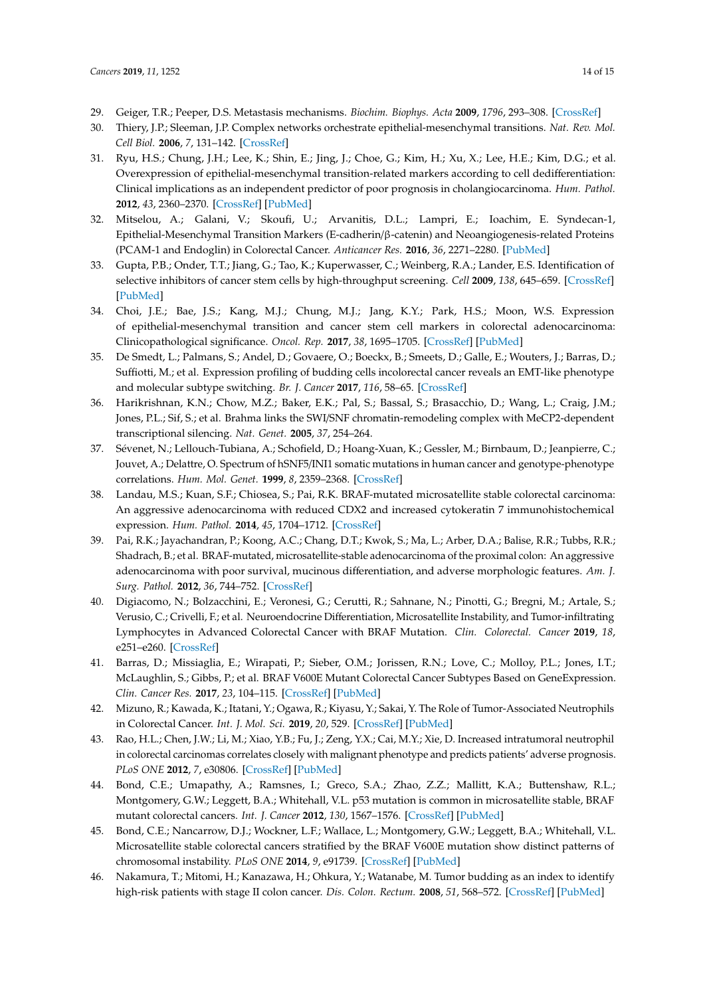- <span id="page-13-0"></span>29. Geiger, T.R.; Peeper, D.S. Metastasis mechanisms. *Biochim. Biophys. Acta* **2009**, *1796*, 293–308. [\[CrossRef\]](http://dx.doi.org/10.1016/j.bbcan.2009.07.006)
- <span id="page-13-1"></span>30. Thiery, J.P.; Sleeman, J.P. Complex networks orchestrate epithelial-mesenchymal transitions. *Nat. Rev. Mol. Cell Biol.* **2006**, *7*, 131–142. [\[CrossRef\]](http://dx.doi.org/10.1038/nrm1835)
- <span id="page-13-2"></span>31. Ryu, H.S.; Chung, J.H.; Lee, K.; Shin, E.; Jing, J.; Choe, G.; Kim, H.; Xu, X.; Lee, H.E.; Kim, D.G.; et al. Overexpression of epithelial-mesenchymal transition-related markers according to cell dedifferentiation: Clinical implications as an independent predictor of poor prognosis in cholangiocarcinoma. *Hum. Pathol.* **2012**, *43*, 2360–2370. [\[CrossRef\]](http://dx.doi.org/10.1016/j.humpath.2012.07.004) [\[PubMed\]](http://www.ncbi.nlm.nih.gov/pubmed/23084587)
- <span id="page-13-3"></span>32. Mitselou, A.; Galani, V.; Skoufi, U.; Arvanitis, D.L.; Lampri, E.; Ioachim, E. Syndecan-1, Epithelial-Mesenchymal Transition Markers (E-cadherin/β-catenin) and Neoangiogenesis-related Proteins (PCAM-1 and Endoglin) in Colorectal Cancer. *Anticancer Res.* **2016**, *36*, 2271–2280. [\[PubMed\]](http://www.ncbi.nlm.nih.gov/pubmed/27127133)
- <span id="page-13-4"></span>33. Gupta, P.B.; Onder, T.T.; Jiang, G.; Tao, K.; Kuperwasser, C.; Weinberg, R.A.; Lander, E.S. Identification of selective inhibitors of cancer stem cells by high-throughput screening. *Cell* **2009**, *138*, 645–659. [\[CrossRef\]](http://dx.doi.org/10.1016/j.cell.2009.06.034) [\[PubMed\]](http://www.ncbi.nlm.nih.gov/pubmed/19682730)
- <span id="page-13-5"></span>34. Choi, J.E.; Bae, J.S.; Kang, M.J.; Chung, M.J.; Jang, K.Y.; Park, H.S.; Moon, W.S. Expression of epithelial-mesenchymal transition and cancer stem cell markers in colorectal adenocarcinoma: Clinicopathological significance. *Oncol. Rep.* **2017**, *38*, 1695–1705. [\[CrossRef\]](http://dx.doi.org/10.3892/or.2017.5790) [\[PubMed\]](http://www.ncbi.nlm.nih.gov/pubmed/28677737)
- <span id="page-13-6"></span>35. De Smedt, L.; Palmans, S.; Andel, D.; Govaere, O.; Boeckx, B.; Smeets, D.; Galle, E.; Wouters, J.; Barras, D.; Suffiotti, M.; et al. Expression profiling of budding cells incolorectal cancer reveals an EMT-like phenotype and molecular subtype switching. *Br. J. Cancer* **2017**, *116*, 58–65. [\[CrossRef\]](http://dx.doi.org/10.1038/bjc.2016.382)
- <span id="page-13-7"></span>36. Harikrishnan, K.N.; Chow, M.Z.; Baker, E.K.; Pal, S.; Bassal, S.; Brasacchio, D.; Wang, L.; Craig, J.M.; Jones, P.L.; Sif, S.; et al. Brahma links the SWI/SNF chromatin-remodeling complex with MeCP2-dependent transcriptional silencing. *Nat. Genet.* **2005**, *37*, 254–264.
- <span id="page-13-8"></span>37. Sévenet, N.; Lellouch-Tubiana, A.; Schofield, D.; Hoang-Xuan, K.; Gessler, M.; Birnbaum, D.; Jeanpierre, C.; Jouvet, A.; Delattre, O. Spectrum of hSNF5/INI1 somatic mutations in human cancer and genotype-phenotype correlations. *Hum. Mol. Genet.* **1999**, *8*, 2359–2368. [\[CrossRef\]](http://dx.doi.org/10.1093/hmg/8.13.2359)
- <span id="page-13-9"></span>38. Landau, M.S.; Kuan, S.F.; Chiosea, S.; Pai, R.K. BRAF-mutated microsatellite stable colorectal carcinoma: An aggressive adenocarcinoma with reduced CDX2 and increased cytokeratin 7 immunohistochemical expression. *Hum. Pathol.* **2014**, *45*, 1704–1712. [\[CrossRef\]](http://dx.doi.org/10.1016/j.humpath.2014.04.008)
- 39. Pai, R.K.; Jayachandran, P.; Koong, A.C.; Chang, D.T.; Kwok, S.; Ma, L.; Arber, D.A.; Balise, R.R.; Tubbs, R.R.; Shadrach, B.; et al. BRAF-mutated, microsatellite-stable adenocarcinoma of the proximal colon: An aggressive adenocarcinoma with poor survival, mucinous differentiation, and adverse morphologic features. *Am. J. Surg. Pathol.* **2012**, *36*, 744–752. [\[CrossRef\]](http://dx.doi.org/10.1097/PAS.0b013e31824430d7)
- <span id="page-13-10"></span>40. Digiacomo, N.; Bolzacchini, E.; Veronesi, G.; Cerutti, R.; Sahnane, N.; Pinotti, G.; Bregni, M.; Artale, S.; Verusio, C.; Crivelli, F.; et al. Neuroendocrine Differentiation, Microsatellite Instability, and Tumor-infiltrating Lymphocytes in Advanced Colorectal Cancer with BRAF Mutation. *Clin. Colorectal. Cancer* **2019**, *18*, e251–e260. [\[CrossRef\]](http://dx.doi.org/10.1016/j.clcc.2018.12.003)
- <span id="page-13-11"></span>41. Barras, D.; Missiaglia, E.; Wirapati, P.; Sieber, O.M.; Jorissen, R.N.; Love, C.; Molloy, P.L.; Jones, I.T.; McLaughlin, S.; Gibbs, P.; et al. BRAF V600E Mutant Colorectal Cancer Subtypes Based on GeneExpression. *Clin. Cancer Res.* **2017**, *23*, 104–115. [\[CrossRef\]](http://dx.doi.org/10.1158/1078-0432.CCR-16-0140) [\[PubMed\]](http://www.ncbi.nlm.nih.gov/pubmed/27354468)
- <span id="page-13-12"></span>42. Mizuno, R.; Kawada, K.; Itatani, Y.; Ogawa, R.; Kiyasu, Y.; Sakai, Y. The Role of Tumor-Associated Neutrophils in Colorectal Cancer. *Int. J. Mol. Sci.* **2019**, *20*, 529. [\[CrossRef\]](http://dx.doi.org/10.3390/ijms20030529) [\[PubMed\]](http://www.ncbi.nlm.nih.gov/pubmed/30691207)
- <span id="page-13-13"></span>43. Rao, H.L.; Chen, J.W.; Li, M.; Xiao, Y.B.; Fu, J.; Zeng, Y.X.; Cai, M.Y.; Xie, D. Increased intratumoral neutrophil in colorectal carcinomas correlates closely with malignant phenotype and predicts patients' adverse prognosis. *PLoS ONE* **2012**, *7*, e30806. [\[CrossRef\]](http://dx.doi.org/10.1371/journal.pone.0030806) [\[PubMed\]](http://www.ncbi.nlm.nih.gov/pubmed/22295111)
- <span id="page-13-14"></span>44. Bond, C.E.; Umapathy, A.; Ramsnes, I.; Greco, S.A.; Zhao, Z.Z.; Mallitt, K.A.; Buttenshaw, R.L.; Montgomery, G.W.; Leggett, B.A.; Whitehall, V.L. p53 mutation is common in microsatellite stable, BRAF mutant colorectal cancers. *Int. J. Cancer* **2012**, *130*, 1567–1576. [\[CrossRef\]](http://dx.doi.org/10.1002/ijc.26175) [\[PubMed\]](http://www.ncbi.nlm.nih.gov/pubmed/21557216)
- <span id="page-13-15"></span>45. Bond, C.E.; Nancarrow, D.J.; Wockner, L.F.; Wallace, L.; Montgomery, G.W.; Leggett, B.A.; Whitehall, V.L. Microsatellite stable colorectal cancers stratified by the BRAF V600E mutation show distinct patterns of chromosomal instability. *PLoS ONE* **2014**, *9*, e91739. [\[CrossRef\]](http://dx.doi.org/10.1371/journal.pone.0091739) [\[PubMed\]](http://www.ncbi.nlm.nih.gov/pubmed/24651849)
- <span id="page-13-16"></span>46. Nakamura, T.; Mitomi, H.; Kanazawa, H.; Ohkura, Y.; Watanabe, M. Tumor budding as an index to identify high-risk patients with stage II colon cancer. *Dis. Colon. Rectum.* **2008**, *51*, 568–572. [\[CrossRef\]](http://dx.doi.org/10.1007/s10350-008-9192-9) [\[PubMed\]](http://www.ncbi.nlm.nih.gov/pubmed/18286339)